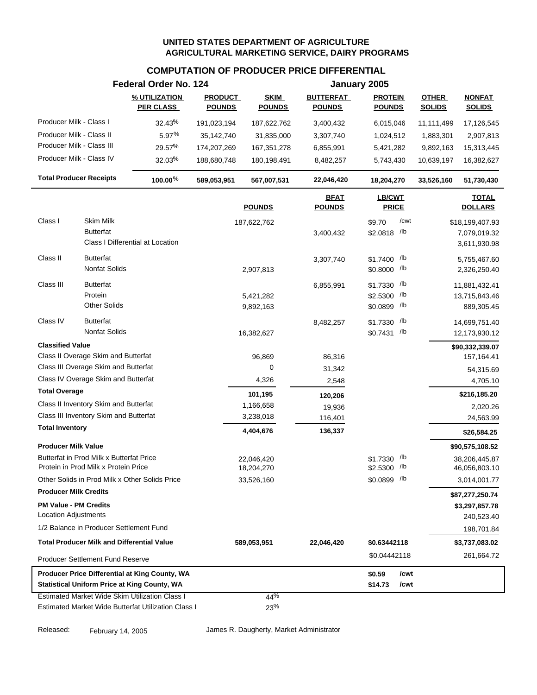## **COMPUTATION OF PRODUCER PRICE DIFFERENTIAL**

|                                                                                  | Federal Order No. 124             |                                 |                              |                                   | January 2005                    |                               |                                   |
|----------------------------------------------------------------------------------|-----------------------------------|---------------------------------|------------------------------|-----------------------------------|---------------------------------|-------------------------------|-----------------------------------|
|                                                                                  | % UTILIZATION<br><b>PER CLASS</b> | <b>PRODUCT</b><br><b>POUNDS</b> | <b>SKIM</b><br><b>POUNDS</b> | <b>BUTTERFAT</b><br><b>POUNDS</b> | <b>PROTEIN</b><br><b>POUNDS</b> | <b>OTHER</b><br><b>SOLIDS</b> | <b>NONFAT</b><br><b>SOLIDS</b>    |
| Producer Milk - Class I                                                          |                                   |                                 |                              |                                   |                                 |                               |                                   |
| Producer Milk - Class II                                                         | 32.43%                            | 191,023,194                     | 187,622,762                  | 3,400,432                         | 6,015,046                       | 11,111,499                    | 17,126,545                        |
| Producer Milk - Class III                                                        | 5.97%<br>29.57%                   | 35,142,740                      | 31,835,000                   | 3,307,740                         | 1,024,512                       | 1,883,301                     | 2,907,813                         |
| Producer Milk - Class IV                                                         |                                   | 174,207,269                     | 167,351,278                  | 6,855,991                         | 5,421,282                       | 9,892,163                     | 15,313,445                        |
|                                                                                  | 32.03%                            | 188,680,748                     | 180,198,491                  | 8,482,257                         | 5,743,430                       | 10,639,197                    | 16,382,627                        |
| <b>Total Producer Receipts</b>                                                   | 100.00%                           | 589,053,951                     | 567,007,531                  | 22,046,420                        | 18,204,270                      | 33,526,160                    | 51,730,430                        |
|                                                                                  |                                   |                                 | <b>POUNDS</b>                | <b>BFAT</b><br><b>POUNDS</b>      | LB/CWT<br><b>PRICE</b>          |                               |                                   |
| Class I<br>Skim Milk                                                             |                                   |                                 | 187,622,762                  |                                   | /cwt<br>\$9.70                  |                               | \$18,199,407.93                   |
| <b>Butterfat</b>                                                                 |                                   |                                 |                              | 3,400,432                         | \$2.0818 /lb                    |                               | 7,079,019.32                      |
| Class I Differential at Location                                                 |                                   |                                 |                              |                                   |                                 |                               | 3,611,930.98                      |
| Class II<br><b>Butterfat</b>                                                     |                                   |                                 |                              | 3,307,740                         | /lb<br>\$1.7400                 |                               | 5,755,467.60                      |
| <b>Nonfat Solids</b>                                                             |                                   |                                 | 2,907,813                    |                                   | \$0.8000 /lb                    |                               | 2,326,250.40                      |
| Class III<br><b>Butterfat</b>                                                    |                                   |                                 |                              | 6,855,991                         | /lb<br>\$1.7330                 |                               | 11,881,432.41                     |
| Protein                                                                          |                                   |                                 | 5,421,282                    |                                   | /lb<br>\$2.5300                 |                               | 13,715,843.46                     |
| <b>Other Solids</b>                                                              |                                   |                                 | 9,892,163                    |                                   | /lb<br>\$0.0899                 |                               | 889,305.45                        |
| <b>Butterfat</b><br>Class IV                                                     |                                   |                                 |                              | 8,482,257                         | /lb<br>\$1.7330                 |                               | 14,699,751.40                     |
| <b>Nonfat Solids</b>                                                             |                                   |                                 | 16,382,627                   |                                   | \$0.7431 /lb                    |                               | 12,173,930.12                     |
| <b>Classified Value</b>                                                          |                                   |                                 |                              |                                   |                                 |                               | \$90,332,339.07                   |
| Class II Overage Skim and Butterfat                                              |                                   |                                 | 96,869                       | 86,316                            |                                 |                               | 157,164.41                        |
| Class III Overage Skim and Butterfat                                             |                                   |                                 | 0                            | 31,342                            |                                 |                               | 54,315.69                         |
| Class IV Overage Skim and Butterfat                                              |                                   |                                 | 4,326                        | 2,548                             |                                 |                               | 4,705.10                          |
| <b>Total Overage</b>                                                             |                                   |                                 | 101,195                      | 120,206                           |                                 |                               | \$216,185.20                      |
| Class II Inventory Skim and Butterfat                                            |                                   |                                 | 1,166,658                    | 19,936                            |                                 |                               | 2,020.26                          |
| Class III Inventory Skim and Butterfat                                           |                                   |                                 | 3,238,018                    | 116,401                           |                                 |                               | 24,563.99                         |
| <b>Total Inventory</b>                                                           |                                   |                                 | 4,404,676                    | 136,337                           |                                 |                               | \$26,584.25                       |
| <b>Producer Milk Value</b>                                                       |                                   |                                 |                              |                                   |                                 |                               | \$90,575,108.52                   |
| Butterfat in Prod Milk x Butterfat Price<br>Protein in Prod Milk x Protein Price |                                   |                                 | 22,046,420<br>18,204,270     |                                   | \$1.7330 /lb<br>\$2.5300 /lb    |                               | 38,206,445.87<br>46,056,803.10    |
| Other Solids in Prod Milk x Other Solids Price                                   |                                   |                                 | 33,526,160                   |                                   | \$0.0899 /lb                    |                               | 3,014,001.77                      |
| <b>Producer Milk Credits</b>                                                     |                                   |                                 |                              |                                   |                                 |                               |                                   |
| <b>PM Value - PM Credits</b>                                                     |                                   |                                 |                              |                                   |                                 |                               | \$87,277,250.74<br>\$3,297,857.78 |
| <b>Location Adjustments</b>                                                      |                                   |                                 |                              |                                   |                                 |                               | 240,523.40                        |
| 1/2 Balance in Producer Settlement Fund                                          |                                   |                                 |                              |                                   |                                 |                               | 198,701.84                        |
| <b>Total Producer Milk and Differential Value</b>                                |                                   |                                 | 589,053,951                  | 22,046,420                        | \$0.63442118                    |                               | \$3,737,083.02                    |
| <b>Producer Settlement Fund Reserve</b>                                          |                                   |                                 |                              |                                   | \$0.04442118                    |                               | 261,664.72                        |
| Producer Price Differential at King County, WA                                   |                                   |                                 |                              |                                   | /cwt<br>\$0.59                  |                               |                                   |
| <b>Statistical Uniform Price at King County, WA</b>                              |                                   |                                 |                              |                                   | \$14.73<br>/cwt                 |                               |                                   |
| <b>Estimated Market Wide Skim Utilization Class I</b>                            |                                   |                                 | 44%                          |                                   |                                 |                               |                                   |
| Estimated Market Wide Butterfat Utilization Class I                              |                                   |                                 | 23%                          |                                   |                                 |                               |                                   |

Released: February 14, 2005 James R. Daugherty, Market Administrator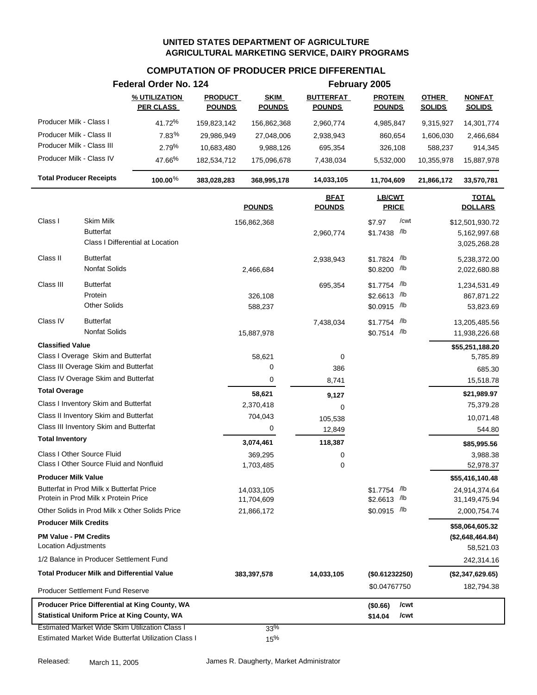## **COMPUTATION OF PRODUCER PRICE DIFFERENTIAL**

|                                                             |                                                                                  | Federal Order No. 124                                                                                        |                                 |                              |                                   | February 2005                                |                               |                                                 |
|-------------------------------------------------------------|----------------------------------------------------------------------------------|--------------------------------------------------------------------------------------------------------------|---------------------------------|------------------------------|-----------------------------------|----------------------------------------------|-------------------------------|-------------------------------------------------|
|                                                             |                                                                                  | % UTILIZATION<br><b>PER CLASS</b>                                                                            | <b>PRODUCT</b><br><b>POUNDS</b> | <b>SKIM</b><br><b>POUNDS</b> | <b>BUTTERFAT</b><br><b>POUNDS</b> | <b>PROTEIN</b><br><b>POUNDS</b>              | <b>OTHER</b><br><b>SOLIDS</b> | <b>NONFAT</b><br><b>SOLIDS</b>                  |
| Producer Milk - Class I                                     |                                                                                  | 41.72%                                                                                                       | 159,823,142                     | 156,862,368                  | 2,960,774                         | 4,985,847                                    | 9,315,927                     | 14,301,774                                      |
| Producer Milk - Class II                                    |                                                                                  | 7.83%                                                                                                        | 29,986,949                      | 27,048,006                   | 2,938,943                         | 860,654                                      | 1,606,030                     | 2,466,684                                       |
| Producer Milk - Class III                                   |                                                                                  | 2.79%                                                                                                        | 10,683,480                      | 9,988,126                    | 695,354                           | 326,108                                      | 588,237                       | 914,345                                         |
| Producer Milk - Class IV                                    |                                                                                  | 47.66%                                                                                                       | 182,534,712                     | 175,096,678                  | 7,438,034                         | 5,532,000                                    | 10,355,978                    | 15,887,978                                      |
| <b>Total Producer Receipts</b>                              |                                                                                  | 100.00%                                                                                                      | 383,028,283                     | 368,995,178                  | 14,033,105                        | 11,704,609                                   | 21,866,172                    | 33,570,781                                      |
|                                                             |                                                                                  |                                                                                                              |                                 | <b>POUNDS</b>                | <b>BFAT</b><br><b>POUNDS</b>      | LB/CWT<br><b>PRICE</b>                       |                               | <b>TOTAL</b><br><b>DOLLARS</b>                  |
| Class I                                                     | <b>Skim Milk</b><br><b>Butterfat</b>                                             | Class I Differential at Location                                                                             |                                 | 156,862,368                  | 2,960,774                         | /cwt<br>\$7.97<br>$$1.7438$ /lb              |                               | \$12,501,930.72<br>5,162,997.68<br>3,025,268.28 |
| Class II                                                    | <b>Butterfat</b><br>Nonfat Solids                                                |                                                                                                              |                                 | 2,466,684                    | 2,938,943                         | \$1.7824 /lb<br>\$0.8200 /lb                 |                               | 5,238,372.00<br>2,022,680.88                    |
| Class III                                                   | <b>Butterfat</b><br>Protein<br><b>Other Solids</b>                               |                                                                                                              |                                 | 326,108<br>588,237           | 695,354                           | \$1.7754 /lb<br>\$2.6613 /lb<br>\$0.0915 /lb |                               | 1,234,531.49<br>867,871.22<br>53,823.69         |
| Class IV                                                    | <b>Butterfat</b><br><b>Nonfat Solids</b>                                         |                                                                                                              |                                 | 15,887,978                   | 7,438,034                         | /lb<br>\$1.7754<br>$$0.7514$ /lb             |                               | 13,205,485.56<br>11,938,226.68                  |
| <b>Classified Value</b>                                     | Class I Overage Skim and Butterfat                                               |                                                                                                              |                                 | 58,621                       | 0                                 |                                              |                               | \$55,251,188.20<br>5,785.89                     |
|                                                             | Class III Overage Skim and Butterfat                                             |                                                                                                              |                                 | 0                            | 386                               |                                              |                               | 685.30                                          |
|                                                             | Class IV Overage Skim and Butterfat                                              |                                                                                                              |                                 | $\boldsymbol{0}$             | 8,741                             |                                              |                               | 15,518.78                                       |
| <b>Total Overage</b>                                        |                                                                                  |                                                                                                              |                                 | 58,621                       | 9,127                             |                                              |                               | \$21,989.97                                     |
|                                                             | Class I Inventory Skim and Butterfat                                             |                                                                                                              |                                 | 2,370,418                    | 0                                 |                                              |                               | 75,379.28                                       |
|                                                             | Class II Inventory Skim and Butterfat                                            |                                                                                                              |                                 | 704,043                      | 105,538                           |                                              |                               | 10,071.48                                       |
|                                                             | Class III Inventory Skim and Butterfat                                           |                                                                                                              |                                 | 0                            | 12,849                            |                                              |                               | 544.80                                          |
| <b>Total Inventory</b>                                      |                                                                                  |                                                                                                              |                                 | 3,074,461                    | 118,387                           |                                              |                               | \$85,995.56                                     |
|                                                             | Class I Other Source Fluid<br>Class I Other Source Fluid and Nonfluid            |                                                                                                              |                                 | 369,295<br>1,703,485         | 0<br>0                            |                                              |                               | 3,988.38<br>52,978.37                           |
| <b>Producer Milk Value</b>                                  |                                                                                  |                                                                                                              |                                 |                              |                                   |                                              |                               | \$55,416,140.48                                 |
|                                                             | Butterfat in Prod Milk x Butterfat Price<br>Protein in Prod Milk x Protein Price |                                                                                                              |                                 | 14,033,105<br>11,704,609     |                                   | $$1.7754$ /lb<br>\$2.6613 /lb                |                               | 24,914,374.64<br>31,149,475.94                  |
|                                                             | Other Solids in Prod Milk x Other Solids Price                                   |                                                                                                              |                                 | 21,866,172                   |                                   | $$0.0915$ /lb                                |                               | 2,000,754.74                                    |
| <b>Producer Milk Credits</b>                                |                                                                                  |                                                                                                              |                                 |                              |                                   |                                              |                               | \$58,064,605.32                                 |
| <b>PM Value - PM Credits</b><br><b>Location Adjustments</b> |                                                                                  |                                                                                                              |                                 |                              |                                   |                                              |                               | (\$2,648,464.84)<br>58,521.03                   |
|                                                             | 1/2 Balance in Producer Settlement Fund                                          |                                                                                                              |                                 |                              |                                   |                                              |                               | 242,314.16                                      |
|                                                             | <b>Total Producer Milk and Differential Value</b>                                |                                                                                                              |                                 | 383,397,578                  | 14,033,105                        | (\$0.61232250)                               |                               | (\$2,347,629.65)                                |
|                                                             | Producer Settlement Fund Reserve                                                 |                                                                                                              |                                 |                              |                                   | \$0.04767750                                 |                               | 182,794.38                                      |
|                                                             |                                                                                  | Producer Price Differential at King County, WA<br><b>Statistical Uniform Price at King County, WA</b>        |                                 |                              |                                   | /cwt<br>(\$0.66)<br>\$14.04<br>/cwt          |                               |                                                 |
|                                                             |                                                                                  | <b>Estimated Market Wide Skim Utilization Class I</b><br>Estimated Market Wide Butterfat Utilization Class I |                                 | 33%<br>15%                   |                                   |                                              |                               |                                                 |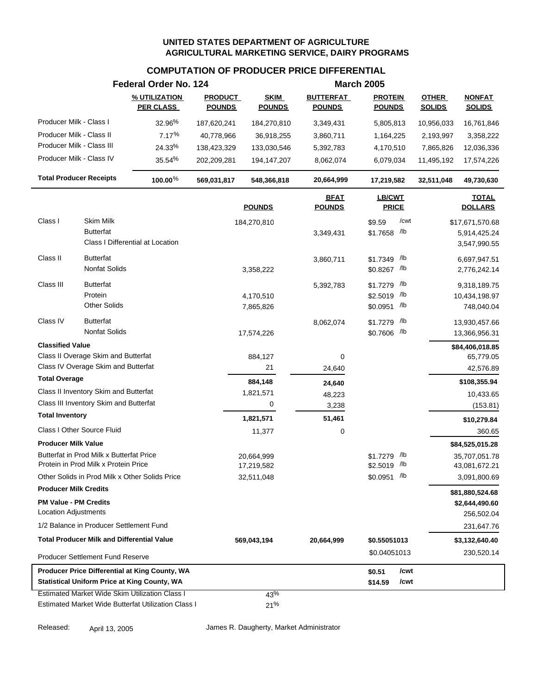# **COMPUTATION OF PRODUCER PRICE DIFFERENTIAL**

|                                                                                  |                                          | Federal Order No. 124                                 |                                 |                              |                                   | <b>March 2005</b>                  |                               |                                |
|----------------------------------------------------------------------------------|------------------------------------------|-------------------------------------------------------|---------------------------------|------------------------------|-----------------------------------|------------------------------------|-------------------------------|--------------------------------|
|                                                                                  |                                          | % UTILIZATION<br><b>PER CLASS</b>                     | <b>PRODUCT</b><br><b>POUNDS</b> | <b>SKIM</b><br><b>POUNDS</b> | <b>BUTTERFAT</b><br><b>POUNDS</b> | <b>PROTEIN</b><br><b>POUNDS</b>    | <b>OTHER</b><br><b>SOLIDS</b> | <b>NONFAT</b><br><b>SOLIDS</b> |
| Producer Milk - Class I                                                          |                                          | 32.96%                                                | 187,620,241                     | 184,270,810                  | 3,349,431                         | 5,805,813                          | 10,956,033                    | 16,761,846                     |
| Producer Milk - Class II                                                         |                                          | 7.17%                                                 | 40,778,966                      | 36,918,255                   | 3,860,711                         | 1,164,225                          | 2,193,997                     | 3,358,222                      |
| Producer Milk - Class III                                                        |                                          | 24.33%                                                | 138,423,329                     | 133,030,546                  | 5,392,783                         | 4,170,510                          | 7,865,826                     | 12,036,336                     |
| Producer Milk - Class IV                                                         |                                          | 35.54%                                                | 202,209,281                     | 194,147,207                  | 8,062,074                         | 6,079,034                          | 11,495,192                    | 17,574,226                     |
| <b>Total Producer Receipts</b>                                                   |                                          | 100.00%                                               | 569,031,817                     | 548,366,818                  | 20,664,999                        | 17,219,582                         | 32,511,048                    | 49,730,630                     |
|                                                                                  |                                          |                                                       |                                 | <b>POUNDS</b>                | <b>BFAT</b><br><b>POUNDS</b>      | LB/CWT<br><b>PRICE</b>             |                               | <b>TOTAL</b><br><b>DOLLARS</b> |
| Class I                                                                          | <b>Skim Milk</b>                         |                                                       |                                 | 184,270,810                  |                                   | /cwt<br>\$9.59                     |                               | \$17,671,570.68                |
|                                                                                  | <b>Butterfat</b>                         | Class I Differential at Location                      |                                 |                              | 3,349,431                         | \$1.7658 /lb                       |                               | 5,914,425.24<br>3,547,990.55   |
| Class II                                                                         | <b>Butterfat</b><br>Nonfat Solids        |                                                       |                                 | 3,358,222                    | 3,860,711                         | /lb<br>\$1.7349<br>\$0.8267 /lb    |                               | 6,697,947.51<br>2,776,242.14   |
| Class III                                                                        | <b>Butterfat</b><br>Protein              |                                                       |                                 | 4,170,510                    | 5,392,783                         | /lb<br>\$1.7279<br>/lb<br>\$2.5019 |                               | 9,318,189.75<br>10,434,198.97  |
|                                                                                  | <b>Other Solids</b>                      |                                                       |                                 | 7,865,826                    |                                   | \$0.0951 /lb                       |                               | 748,040.04                     |
| Class IV                                                                         | <b>Butterfat</b><br><b>Nonfat Solids</b> |                                                       |                                 | 17,574,226                   | 8,062,074                         | /lb<br>\$1.7279<br>\$0.7606 /lb    |                               | 13,930,457.66<br>13,366,956.31 |
| <b>Classified Value</b>                                                          |                                          |                                                       |                                 |                              |                                   |                                    |                               | \$84,406,018.85                |
| Class II Overage Skim and Butterfat                                              |                                          |                                                       |                                 | 884,127                      | 0                                 |                                    |                               | 65,779.05                      |
| Class IV Overage Skim and Butterfat                                              |                                          |                                                       |                                 | 21                           | 24,640                            |                                    |                               | 42,576.89                      |
| <b>Total Overage</b>                                                             |                                          |                                                       |                                 | 884,148                      | 24,640                            |                                    |                               | \$108,355.94                   |
| Class II Inventory Skim and Butterfat                                            |                                          |                                                       |                                 | 1,821,571                    | 48,223                            |                                    |                               | 10,433.65                      |
| Class III Inventory Skim and Butterfat                                           |                                          |                                                       |                                 | 0                            | 3,238                             |                                    |                               | (153.81)                       |
| <b>Total Inventory</b>                                                           |                                          |                                                       |                                 | 1,821,571                    | 51,461                            |                                    |                               | \$10,279.84                    |
| Class I Other Source Fluid                                                       |                                          |                                                       |                                 | 11,377                       | 0                                 |                                    |                               | 360.65                         |
| <b>Producer Milk Value</b>                                                       |                                          |                                                       |                                 |                              |                                   |                                    |                               | \$84,525,015.28                |
| Butterfat in Prod Milk x Butterfat Price<br>Protein in Prod Milk x Protein Price |                                          |                                                       |                                 | 20,664,999<br>17,219,582     |                                   | /lb<br>\$1.7279<br>\$2.5019 /lb    |                               | 35,707,051.78<br>43,081,672.21 |
|                                                                                  |                                          | Other Solids in Prod Milk x Other Solids Price        |                                 | 32,511,048                   |                                   | \$0.0951 /lb                       |                               | 3,091,800.69                   |
| <b>Producer Milk Credits</b>                                                     |                                          |                                                       |                                 |                              |                                   |                                    |                               | \$81,880,524.68                |
| <b>PM Value - PM Credits</b><br><b>Location Adjustments</b>                      |                                          |                                                       |                                 |                              |                                   |                                    |                               | \$2,644,490.60<br>256,502.04   |
| 1/2 Balance in Producer Settlement Fund                                          |                                          |                                                       |                                 |                              |                                   |                                    |                               | 231,647.76                     |
| <b>Total Producer Milk and Differential Value</b>                                |                                          |                                                       |                                 | 569,043,194                  | 20,664,999                        | \$0.55051013                       |                               | \$3,132,640.40                 |
| <b>Producer Settlement Fund Reserve</b>                                          |                                          |                                                       |                                 |                              |                                   | \$0.04051013                       |                               | 230,520.14                     |
|                                                                                  |                                          | Producer Price Differential at King County, WA        |                                 |                              |                                   | /cwt<br>\$0.51                     |                               |                                |
|                                                                                  |                                          | <b>Statistical Uniform Price at King County, WA</b>   |                                 |                              |                                   | \$14.59<br>/cwt                    |                               |                                |
|                                                                                  |                                          | <b>Estimated Market Wide Skim Utilization Class I</b> |                                 | 43%                          |                                   |                                    |                               |                                |
|                                                                                  |                                          | Estimated Market Wide Butterfat Utilization Class I   |                                 | 21%                          |                                   |                                    |                               |                                |

Released: April 13, 2005 James R. Daugherty, Market Administrator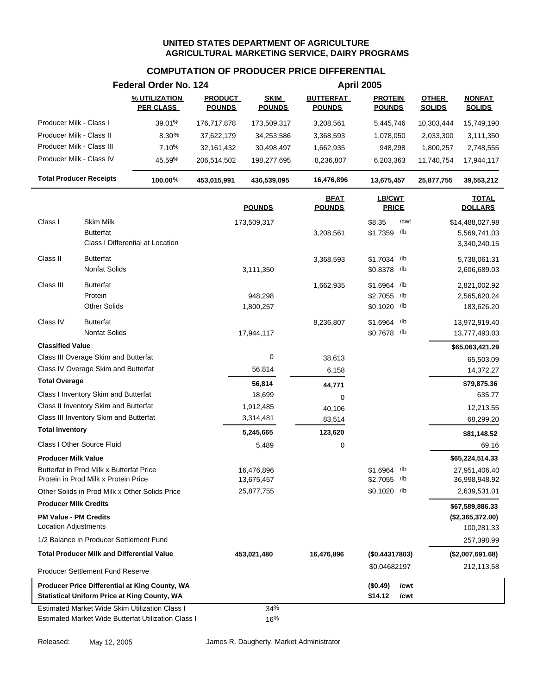## **COMPUTATION OF PRODUCER PRICE DIFFERENTIAL**

|                                |                                                   | Federal Order No. 124                               |                                 |                              |                                   | <b>April 2005</b>               |                               |                                |
|--------------------------------|---------------------------------------------------|-----------------------------------------------------|---------------------------------|------------------------------|-----------------------------------|---------------------------------|-------------------------------|--------------------------------|
|                                |                                                   | % UTILIZATION<br><b>PER CLASS</b>                   | <b>PRODUCT</b><br><b>POUNDS</b> | <b>SKIM</b><br><b>POUNDS</b> | <b>BUTTERFAT</b><br><b>POUNDS</b> | <b>PROTEIN</b><br><b>POUNDS</b> | <b>OTHER</b><br><b>SOLIDS</b> | <b>NONFAT</b><br><b>SOLIDS</b> |
| Producer Milk - Class I        |                                                   | 39.01%                                              | 176,717,878                     | 173,509,317                  | 3,208,561                         | 5,445,746                       | 10,303,444                    | 15,749,190                     |
| Producer Milk - Class II       |                                                   | 8.30%                                               | 37,622,179                      | 34,253,586                   | 3,368,593                         | 1,078,050                       | 2,033,300                     | 3,111,350                      |
| Producer Milk - Class III      |                                                   | 7.10%                                               | 32,161,432                      | 30,498,497                   | 1,662,935                         | 948,298                         | 1,800,257                     | 2,748,555                      |
| Producer Milk - Class IV       |                                                   | 45.59%                                              | 206,514,502                     | 198,277,695                  | 8,236,807                         | 6,203,363                       | 11,740,754                    | 17,944,117                     |
| <b>Total Producer Receipts</b> |                                                   | 100.00%                                             | 453,015,991                     | 436,539,095                  | 16,476,896                        | 13,675,457                      | 25,877,755                    | 39,553,212                     |
|                                |                                                   |                                                     |                                 | <b>POUNDS</b>                | <b>BFAT</b><br><b>POUNDS</b>      | <b>LB/CWT</b><br><b>PRICE</b>   |                               | <b>TOTAL</b><br><b>DOLLARS</b> |
| Class I                        | <b>Skim Milk</b>                                  |                                                     |                                 | 173,509,317                  |                                   | /cwt<br>\$8.35                  |                               | \$14,488,027.98                |
|                                | <b>Butterfat</b>                                  |                                                     |                                 |                              | 3,208,561                         | \$1.7359 /lb                    |                               | 5,569,741.03                   |
|                                |                                                   | Class I Differential at Location                    |                                 |                              |                                   |                                 |                               | 3,340,240.15                   |
| Class II                       | <b>Butterfat</b>                                  |                                                     |                                 |                              | 3,368,593                         | $$1.7034$ /lb                   |                               | 5,738,061.31                   |
|                                | Nonfat Solids                                     |                                                     |                                 | 3,111,350                    |                                   | \$0.8378 /lb                    |                               | 2,606,689.03                   |
| Class III                      | <b>Butterfat</b>                                  |                                                     |                                 |                              | 1,662,935                         | \$1.6964 /lb                    |                               | 2,821,002.92                   |
|                                | Protein                                           |                                                     |                                 | 948,298                      |                                   | \$2.7055 /lb                    |                               | 2,565,620.24                   |
|                                | <b>Other Solids</b>                               |                                                     |                                 | 1,800,257                    |                                   | \$0.1020 /lb                    |                               | 183,626.20                     |
| Class IV                       | <b>Butterfat</b>                                  |                                                     |                                 |                              | 8,236,807                         | \$1.6964 /lb                    |                               | 13,972,919.40                  |
|                                | <b>Nonfat Solids</b>                              |                                                     |                                 | 17,944,117                   |                                   | \$0.7678 /lb                    |                               | 13,777,493.03                  |
| <b>Classified Value</b>        |                                                   |                                                     |                                 |                              |                                   |                                 |                               | \$65,063,421.29                |
|                                | Class III Overage Skim and Butterfat              |                                                     |                                 | $\mathbf 0$                  | 38,613                            |                                 |                               | 65,503.09                      |
|                                | Class IV Overage Skim and Butterfat               |                                                     |                                 | 56,814                       | 6,158                             |                                 |                               | 14,372.27                      |
| <b>Total Overage</b>           |                                                   |                                                     |                                 | 56,814                       | 44,771                            |                                 |                               | \$79,875.36                    |
|                                | Class I Inventory Skim and Butterfat              |                                                     |                                 | 18,699                       | 0                                 |                                 |                               | 635.77                         |
|                                | Class II Inventory Skim and Butterfat             |                                                     |                                 | 1,912,485                    | 40,106                            |                                 |                               | 12,213.55                      |
|                                | Class III Inventory Skim and Butterfat            |                                                     |                                 | 3,314,481                    | 83,514                            |                                 |                               | 68,299.20                      |
| <b>Total Inventory</b>         |                                                   |                                                     |                                 | 5,245,665                    | 123,620                           |                                 |                               | \$81,148.52                    |
|                                | Class I Other Source Fluid                        |                                                     |                                 | 5,489                        | 0                                 |                                 |                               | 69.16                          |
| <b>Producer Milk Value</b>     |                                                   |                                                     |                                 |                              |                                   |                                 |                               | \$65,224,514.33                |
|                                | Butterfat in Prod Milk x Butterfat Price          |                                                     |                                 | 16,476,896                   |                                   | \$1.6964 /lb                    |                               | 27,951,406.40                  |
|                                | Protein in Prod Milk x Protein Price              |                                                     |                                 | 13,675,457                   |                                   | $$2.7055$ /lb                   |                               | 36,998,948.92                  |
|                                | Other Solids in Prod Milk x Other Solids Price    |                                                     |                                 | 25,877,755                   |                                   | \$0.1020 /lb                    |                               | 2,639,531.01                   |
| <b>Producer Milk Credits</b>   |                                                   |                                                     |                                 |                              |                                   |                                 |                               | \$67,589,886.33                |
| <b>PM Value - PM Credits</b>   |                                                   |                                                     |                                 |                              |                                   |                                 |                               | (\$2,365,372.00)               |
| <b>Location Adjustments</b>    |                                                   |                                                     |                                 |                              |                                   |                                 |                               | 100,281.33                     |
|                                | 1/2 Balance in Producer Settlement Fund           |                                                     |                                 |                              |                                   |                                 |                               | 257,398.99                     |
|                                | <b>Total Producer Milk and Differential Value</b> |                                                     |                                 | 453,021,480                  | 16,476,896                        | (\$0.44317803)                  |                               | (\$2,007,691.68)               |
|                                | <b>Producer Settlement Fund Reserve</b>           |                                                     |                                 |                              |                                   | \$0.04682197                    |                               | 212,113.58                     |
|                                |                                                   | Producer Price Differential at King County, WA      |                                 |                              |                                   | (\$0.49)<br>/cwt                |                               |                                |
|                                |                                                   | <b>Statistical Uniform Price at King County, WA</b> |                                 |                              |                                   | \$14.12<br>/cwt                 |                               |                                |
|                                |                                                   | Estimated Market Wide Skim Utilization Class I      |                                 | 34%                          |                                   |                                 |                               |                                |
|                                |                                                   | Estimated Market Wide Butterfat Utilization Class I |                                 | 16%                          |                                   |                                 |                               |                                |

Released: May 12, 2005 James R. Daugherty, Market Administrator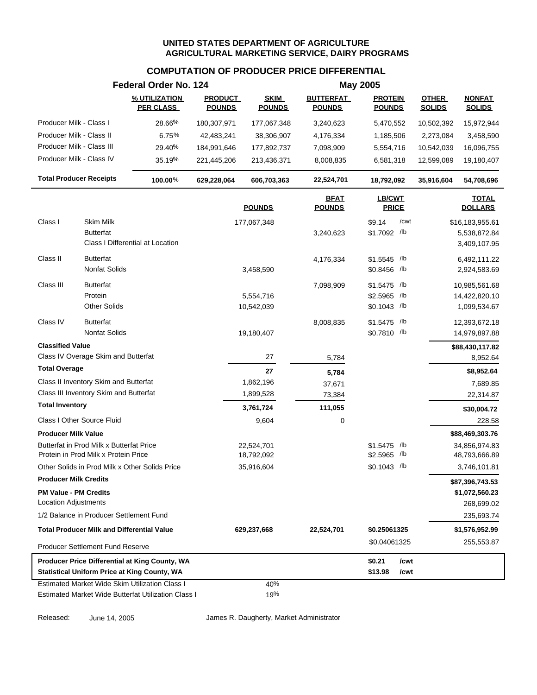# **COMPUTATION OF PRODUCER PRICE DIFFERENTIAL**

|                                                             |                                                                                  | Federal Order No. 124                                                                                 |                                 |                              |                                   | <b>May 2005</b>                 |                               |                                |
|-------------------------------------------------------------|----------------------------------------------------------------------------------|-------------------------------------------------------------------------------------------------------|---------------------------------|------------------------------|-----------------------------------|---------------------------------|-------------------------------|--------------------------------|
|                                                             |                                                                                  | % UTILIZATION<br><b>PER CLASS</b>                                                                     | <b>PRODUCT</b><br><b>POUNDS</b> | <b>SKIM</b><br><b>POUNDS</b> | <b>BUTTERFAT</b><br><b>POUNDS</b> | <b>PROTEIN</b><br><b>POUNDS</b> | <b>OTHER</b><br><b>SOLIDS</b> | <b>NONFAT</b><br><b>SOLIDS</b> |
| Producer Milk - Class I                                     |                                                                                  | 28.66%                                                                                                | 180,307,971                     | 177,067,348                  | 3,240,623                         | 5,470,552                       | 10,502,392                    | 15,972,944                     |
|                                                             | Producer Milk - Class II                                                         | 6.75%                                                                                                 | 42,483,241                      | 38,306,907                   | 4,176,334                         | 1,185,506                       | 2,273,084                     | 3,458,590                      |
|                                                             | Producer Milk - Class III                                                        | 29.40%                                                                                                | 184,991,646                     | 177,892,737                  | 7,098,909                         | 5,554,716                       | 10,542,039                    | 16,096,755                     |
|                                                             | Producer Milk - Class IV                                                         | 35.19%                                                                                                | 221,445,206                     | 213,436,371                  | 8,008,835                         | 6,581,318                       | 12,599,089                    | 19,180,407                     |
|                                                             | <b>Total Producer Receipts</b>                                                   | $100.00\%$                                                                                            | 629,228,064                     | 606,703,363                  | 22,524,701                        | 18,792,092                      | 35,916,604                    | 54,708,696                     |
|                                                             |                                                                                  |                                                                                                       |                                 | <b>POUNDS</b>                | <b>BFAT</b><br><b>POUNDS</b>      | LB/CWT<br><b>PRICE</b>          |                               | <b>TOTAL</b><br><b>DOLLARS</b> |
| Class I                                                     | <b>Skim Milk</b>                                                                 |                                                                                                       |                                 | 177,067,348                  |                                   | /cwt<br>\$9.14                  |                               | \$16,183,955.61                |
|                                                             | <b>Butterfat</b>                                                                 | Class I Differential at Location                                                                      |                                 |                              | 3,240,623                         | \$1.7092 /lb                    |                               | 5,538,872.84<br>3,409,107.95   |
| Class II                                                    | <b>Butterfat</b>                                                                 |                                                                                                       |                                 |                              | 4,176,334                         | \$1.5545 /lb                    |                               | 6,492,111.22                   |
|                                                             | Nonfat Solids                                                                    |                                                                                                       |                                 | 3,458,590                    |                                   | \$0.8456 /lb                    |                               | 2,924,583.69                   |
| Class III                                                   | <b>Butterfat</b>                                                                 |                                                                                                       |                                 |                              | 7,098,909                         | \$1.5475 /lb                    |                               | 10,985,561.68                  |
|                                                             | Protein                                                                          |                                                                                                       |                                 | 5,554,716                    |                                   | \$2.5965 /lb                    |                               | 14,422,820.10                  |
|                                                             | <b>Other Solids</b>                                                              |                                                                                                       |                                 | 10,542,039                   |                                   | $$0.1043$ /lb                   |                               | 1,099,534.67                   |
| Class IV                                                    | <b>Butterfat</b>                                                                 |                                                                                                       |                                 |                              | 8,008,835                         | \$1.5475 /lb                    |                               | 12,393,672.18                  |
|                                                             | <b>Nonfat Solids</b>                                                             |                                                                                                       |                                 | 19,180,407                   |                                   | \$0.7810 /lb                    |                               | 14,979,897.88                  |
| <b>Classified Value</b>                                     |                                                                                  |                                                                                                       |                                 |                              |                                   |                                 |                               | \$88,430,117.82                |
|                                                             | Class IV Overage Skim and Butterfat                                              |                                                                                                       |                                 | 27                           | 5,784                             |                                 |                               | 8,952.64                       |
| <b>Total Overage</b>                                        |                                                                                  |                                                                                                       |                                 | 27                           | 5,784                             |                                 |                               | \$8,952.64                     |
|                                                             | Class II Inventory Skim and Butterfat                                            |                                                                                                       |                                 | 1,862,196                    | 37,671                            |                                 |                               | 7,689.85                       |
|                                                             | Class III Inventory Skim and Butterfat                                           |                                                                                                       |                                 | 1,899,528                    | 73,384                            |                                 |                               | 22,314.87                      |
| <b>Total Inventory</b>                                      |                                                                                  |                                                                                                       |                                 | 3,761,724                    | 111,055                           |                                 |                               | \$30,004.72                    |
|                                                             | Class I Other Source Fluid                                                       |                                                                                                       |                                 | 9,604                        | 0                                 |                                 |                               | 228.58                         |
| <b>Producer Milk Value</b>                                  |                                                                                  |                                                                                                       |                                 |                              |                                   |                                 |                               | \$88,469,303.76                |
|                                                             | Butterfat in Prod Milk x Butterfat Price<br>Protein in Prod Milk x Protein Price |                                                                                                       |                                 | 22,524,701<br>18,792,092     |                                   | \$1.5475 /lb<br>\$2.5965 /lb    |                               | 34,856,974.83<br>48,793,666.89 |
|                                                             | Other Solids in Prod Milk x Other Solids Price                                   |                                                                                                       |                                 | 35,916,604                   |                                   | \$0.1043 /lb                    |                               | 3,746,101.81                   |
| <b>Producer Milk Credits</b>                                |                                                                                  |                                                                                                       |                                 |                              |                                   |                                 |                               | \$87,396,743.53                |
| <b>PM Value - PM Credits</b><br><b>Location Adjustments</b> |                                                                                  |                                                                                                       |                                 |                              |                                   |                                 |                               | \$1,072,560.23<br>268,699.02   |
|                                                             | 1/2 Balance in Producer Settlement Fund                                          |                                                                                                       |                                 |                              |                                   |                                 |                               | 235,693.74                     |
|                                                             | <b>Total Producer Milk and Differential Value</b>                                |                                                                                                       |                                 | 629,237,668                  | 22,524,701                        | \$0.25061325                    |                               | \$1,576,952.99                 |
|                                                             | <b>Producer Settlement Fund Reserve</b>                                          |                                                                                                       |                                 |                              |                                   | \$0.04061325                    |                               | 255,553.87                     |
|                                                             |                                                                                  | Producer Price Differential at King County, WA                                                        |                                 |                              |                                   | \$0.21<br>/cwt                  |                               |                                |
|                                                             |                                                                                  | <b>Statistical Uniform Price at King County, WA</b>                                                   |                                 |                              |                                   | \$13.98<br>/cwt                 |                               |                                |
|                                                             |                                                                                  | Estimated Market Wide Skim Utilization Class I<br>Estimated Market Wide Butterfat Utilization Class I |                                 | 40%<br>19%                   |                                   |                                 |                               |                                |

Released: June 14, 2005 James R. Daugherty, Market Administrator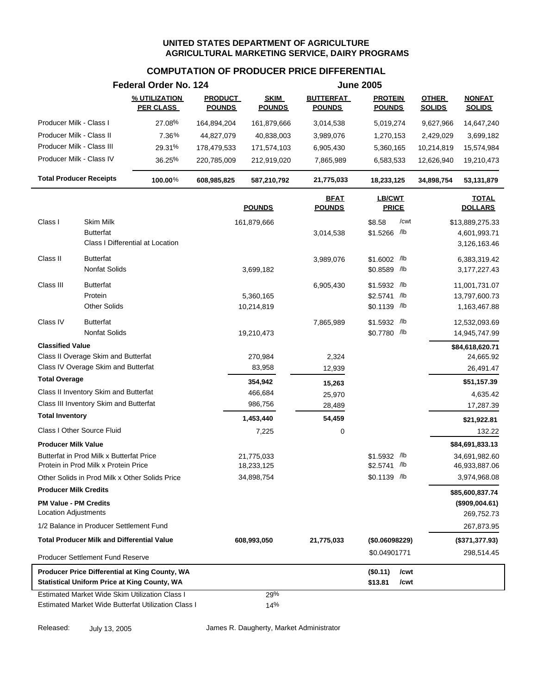# **COMPUTATION OF PRODUCER PRICE DIFFERENTIAL**

|                                                                                                       | Federal Order No. 124             |                                 |                              |                                                               | <b>June 2005</b>                |              |                                |                                |
|-------------------------------------------------------------------------------------------------------|-----------------------------------|---------------------------------|------------------------------|---------------------------------------------------------------|---------------------------------|--------------|--------------------------------|--------------------------------|
|                                                                                                       | % UTILIZATION<br><b>PER CLASS</b> | <b>PRODUCT</b><br><b>POUNDS</b> | <b>SKIM</b><br><b>POUNDS</b> | <b>BUTTERFAT</b><br><b>POUNDS</b>                             | <b>PROTEIN</b><br><b>POUNDS</b> |              | <b>OTHER</b><br><b>SOLIDS</b>  | <b>NONFAT</b><br><b>SOLIDS</b> |
| Producer Milk - Class I                                                                               | 27.08%                            | 164,894,204                     | 161,879,666                  | 3,014,538                                                     | 5,019,274                       |              | 9,627,966                      | 14,647,240                     |
| Producer Milk - Class II                                                                              | 7.36%                             |                                 |                              |                                                               |                                 |              |                                |                                |
| Producer Milk - Class III                                                                             | 29.31%                            | 44,827,079<br>178,479,533       | 40,838,003<br>171,574,103    | 3,989,076<br>6,905,430                                        | 1,270,153<br>5,360,165          |              | 2,429,029<br>10,214,819        | 3,699,182<br>15,574,984        |
| Producer Milk - Class IV                                                                              | 36.25%                            | 220,785,009                     | 212,919,020                  | 7,865,989                                                     | 6,583,533                       |              | 12,626,940                     | 19,210,473                     |
|                                                                                                       |                                   |                                 |                              |                                                               |                                 |              |                                |                                |
| <b>Total Producer Receipts</b>                                                                        | 100.00%                           | 608,985,825                     | 587,210,792                  | 21,775,033                                                    | 18,233,125                      |              | 34,898,754                     | 53,131,879                     |
|                                                                                                       |                                   |                                 | <b>POUNDS</b>                | <b>BFAT</b><br><b>LB/CWT</b><br><b>PRICE</b><br><b>POUNDS</b> |                                 |              | <b>TOTAL</b><br><b>DOLLARS</b> |                                |
| <b>Skim Milk</b><br>Class I                                                                           |                                   |                                 | 161,879,666                  |                                                               | \$8.58                          | /cwt         |                                | \$13,889,275.33                |
| <b>Butterfat</b><br>Class I Differential at Location                                                  |                                   |                                 |                              | 3,014,538                                                     | \$1.5266 /lb                    |              |                                | 4,601,993.71<br>3,126,163.46   |
| <b>Butterfat</b>                                                                                      |                                   |                                 |                              |                                                               |                                 |              |                                |                                |
| Class II<br>Nonfat Solids                                                                             |                                   |                                 | 3,699,182                    | 3,989,076                                                     | \$1.6002 /lb<br>\$0.8589 /lb    |              |                                | 6,383,319.42<br>3,177,227.43   |
|                                                                                                       |                                   |                                 |                              |                                                               |                                 |              |                                |                                |
| Class III<br><b>Butterfat</b>                                                                         |                                   |                                 |                              | 6,905,430                                                     | \$1.5932 /lb                    |              |                                | 11,001,731.07                  |
| Protein<br><b>Other Solids</b>                                                                        |                                   |                                 | 5,360,165<br>10,214,819      |                                                               | \$2.5741 /lb<br>\$0.1139 /lb    |              |                                | 13,797,600.73<br>1,163,467.88  |
|                                                                                                       |                                   |                                 |                              |                                                               |                                 |              |                                |                                |
| Class IV<br><b>Butterfat</b>                                                                          |                                   |                                 |                              | 7,865,989                                                     | \$1.5932 /lb                    |              |                                | 12,532,093.69                  |
| <b>Nonfat Solids</b>                                                                                  |                                   |                                 | 19,210,473                   |                                                               | \$0.7780 /lb                    |              |                                | 14,945,747.99                  |
| <b>Classified Value</b><br>Class II Overage Skim and Butterfat                                        |                                   |                                 | 270,984                      | 2,324                                                         |                                 |              |                                | \$84,618,620.71                |
| Class IV Overage Skim and Butterfat                                                                   |                                   |                                 | 83,958                       | 12,939                                                        |                                 |              |                                | 24,665.92<br>26,491.47         |
| <b>Total Overage</b>                                                                                  |                                   |                                 |                              |                                                               |                                 |              |                                |                                |
| Class II Inventory Skim and Butterfat                                                                 |                                   |                                 | 354,942<br>466,684           | 15,263                                                        |                                 |              |                                | \$51,157.39                    |
| Class III Inventory Skim and Butterfat                                                                |                                   |                                 | 986,756                      | 25,970<br>28,489                                              |                                 |              |                                | 4,635.42<br>17,287.39          |
| <b>Total Inventory</b>                                                                                |                                   |                                 | 1,453,440                    | 54,459                                                        |                                 |              |                                |                                |
| Class I Other Source Fluid                                                                            |                                   |                                 | 7,225                        | 0                                                             |                                 |              |                                | \$21,922.81<br>132.22          |
| <b>Producer Milk Value</b>                                                                            |                                   |                                 |                              |                                                               |                                 |              |                                | \$84,691,833.13                |
| Butterfat in Prod Milk x Butterfat Price<br>Protein in Prod Milk x Protein Price                      |                                   |                                 | 21,775,033<br>18,233,125     |                                                               | \$1.5932 /lb<br>\$2.5741 /lb    |              |                                | 34,691,982.60<br>46,933,887.06 |
| Other Solids in Prod Milk x Other Solids Price                                                        |                                   |                                 | 34,898,754                   |                                                               | $$0.1139$ /lb                   |              |                                | 3,974,968.08                   |
| <b>Producer Milk Credits</b>                                                                          |                                   |                                 |                              |                                                               |                                 |              |                                | \$85,600,837.74                |
| <b>PM Value - PM Credits</b><br>Location Adjustments                                                  |                                   |                                 |                              |                                                               |                                 |              |                                | (\$909,004.61)                 |
| 1/2 Balance in Producer Settlement Fund                                                               |                                   |                                 |                              |                                                               |                                 |              |                                | 269,752.73                     |
|                                                                                                       |                                   |                                 |                              |                                                               |                                 |              |                                | 267,873.95                     |
| <b>Total Producer Milk and Differential Value</b>                                                     |                                   |                                 | 608,993,050                  | 21,775,033                                                    | (\$0.06098229)                  |              |                                | (\$371,377.93)                 |
| Producer Settlement Fund Reserve                                                                      |                                   |                                 |                              |                                                               | \$0.04901771                    |              |                                | 298,514.45                     |
| Producer Price Differential at King County, WA<br><b>Statistical Uniform Price at King County, WA</b> |                                   |                                 |                              |                                                               | (\$0.11)<br>\$13.81             | /cwt<br>/cwt |                                |                                |
| <b>Estimated Market Wide Skim Utilization Class I</b>                                                 |                                   |                                 | 29%                          |                                                               |                                 |              |                                |                                |
| Estimated Market Wide Butterfat Utilization Class I                                                   |                                   |                                 | 14%                          |                                                               |                                 |              |                                |                                |

Released: July 13, 2005 James R. Daugherty, Market Administrator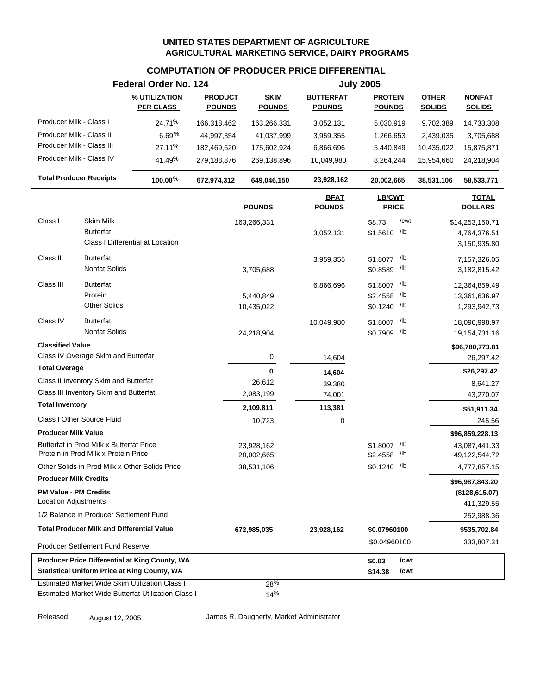# **COMPUTATION OF PRODUCER PRICE DIFFERENTIAL**

|                                                                                | Federal Order No. 124             |                                 |                              |                                   | <b>July 2005</b>                |                               |                                |
|--------------------------------------------------------------------------------|-----------------------------------|---------------------------------|------------------------------|-----------------------------------|---------------------------------|-------------------------------|--------------------------------|
|                                                                                | % UTILIZATION<br><b>PER CLASS</b> | <b>PRODUCT</b><br><b>POUNDS</b> | <b>SKIM</b><br><b>POUNDS</b> | <b>BUTTERFAT</b><br><b>POUNDS</b> | <b>PROTEIN</b><br><b>POUNDS</b> | <b>OTHER</b><br><b>SOLIDS</b> | <b>NONFAT</b><br><b>SOLIDS</b> |
| Producer Milk - Class I                                                        | 24.71%                            | 166,318,462                     | 163,266,331                  | 3,052,131                         | 5,030,919                       | 9,702,389                     | 14,733,308                     |
| Producer Milk - Class II                                                       | 6.69%                             | 44,997,354                      | 41,037,999                   | 3,959,355                         | 1,266,653                       | 2,439,035                     | 3,705,688                      |
| Producer Milk - Class III                                                      | 27.11%                            | 182,469,620                     | 175,602,924                  | 6,866,696                         | 5,440,849                       | 10,435,022                    | 15,875,871                     |
| Producer Milk - Class IV                                                       | 41.49%                            | 279,188,876                     | 269,138,896                  | 10,049,980                        | 8,264,244                       | 15,954,660                    | 24,218,904                     |
| <b>Total Producer Receipts</b>                                                 | 100.00 $%$                        | 672,974,312                     | 649,046,150                  | 23,928,162                        | 20,002,665                      | 38,531,106                    | 58,533,771                     |
|                                                                                |                                   |                                 | <b>POUNDS</b>                | <b>BFAT</b><br><b>POUNDS</b>      | <b>LB/CWT</b><br><b>PRICE</b>   |                               | <b>TOTAL</b><br><b>DOLLARS</b> |
| Class I<br>Skim Milk                                                           |                                   |                                 | 163,266,331                  |                                   | /cwt<br>\$8.73                  |                               | \$14,253,150.71                |
| <b>Butterfat</b><br>Class I Differential at Location                           |                                   |                                 |                              | 3,052,131                         | \$1.5610 /b                     |                               | 4,764,376.51<br>3,150,935.80   |
| <b>Butterfat</b><br>Class II                                                   |                                   |                                 |                              | 3,959,355                         | \$1.8077 /lb                    |                               | 7,157,326.05                   |
| Nonfat Solids                                                                  |                                   |                                 | 3,705,688                    |                                   | \$0.8589 /lb                    |                               | 3,182,815.42                   |
| <b>Butterfat</b><br>Class III                                                  |                                   |                                 |                              | 6,866,696                         | \$1.8007 /lb                    |                               | 12,364,859.49                  |
| Protein                                                                        |                                   |                                 | 5,440,849                    |                                   | /lb<br>\$2.4558                 |                               | 13,361,636.97                  |
| <b>Other Solids</b>                                                            |                                   |                                 | 10,435,022                   |                                   | \$0.1240 /lb                    |                               | 1,293,942.73                   |
| <b>Butterfat</b><br>Class IV                                                   |                                   |                                 |                              | 10,049,980                        | /lb<br>\$1.8007                 |                               | 18,096,998.97                  |
| <b>Nonfat Solids</b>                                                           |                                   |                                 | 24,218,904                   |                                   | \$0.7909 /lb                    |                               | 19,154,731.16                  |
| <b>Classified Value</b>                                                        |                                   |                                 |                              |                                   |                                 |                               | \$96,780,773.81                |
| Class IV Overage Skim and Butterfat                                            |                                   |                                 | 0                            | 14,604                            |                                 |                               | 26,297.42                      |
| <b>Total Overage</b>                                                           |                                   |                                 | $\mathbf 0$                  | 14,604                            |                                 |                               | \$26,297.42                    |
| Class II Inventory Skim and Butterfat                                          |                                   |                                 | 26,612                       | 39,380                            |                                 |                               | 8,641.27                       |
| Class III Inventory Skim and Butterfat                                         |                                   |                                 | 2,083,199                    | 74,001                            |                                 |                               | 43,270.07                      |
| <b>Total Inventory</b>                                                         |                                   |                                 | 2,109,811                    | 113,381                           |                                 |                               | \$51,911.34                    |
| <b>Class I Other Source Fluid</b>                                              |                                   |                                 | 10,723                       | 0                                 |                                 |                               | 245.56                         |
| <b>Producer Milk Value</b>                                                     |                                   |                                 |                              |                                   |                                 |                               | \$96,859,228.13                |
| Butterfat in Prod Milk x Butterfat Price                                       |                                   |                                 | 23,928,162                   |                                   | \$1.8007 /lb                    |                               | 43,087,441.33                  |
| Protein in Prod Milk x Protein Price                                           |                                   |                                 | 20,002,665                   |                                   | /lb<br>\$2.4558                 |                               | 49,122,544.72                  |
| Other Solids in Prod Milk x Other Solids Price<br><b>Producer Milk Credits</b> |                                   |                                 | 38,531,106                   |                                   | \$0.1240 /lb                    |                               | 4,777,857.15                   |
|                                                                                |                                   |                                 |                              |                                   |                                 |                               | \$96,987,843.20                |
| <b>PM Value - PM Credits</b><br><b>Location Adjustments</b>                    |                                   |                                 |                              |                                   |                                 |                               | (\$128,615.07)<br>411,329.55   |
| 1/2 Balance in Producer Settlement Fund                                        |                                   |                                 |                              |                                   |                                 |                               | 252,988.36                     |
| <b>Total Producer Milk and Differential Value</b>                              |                                   |                                 |                              |                                   |                                 |                               |                                |
| <b>Producer Settlement Fund Reserve</b>                                        |                                   |                                 | 672,985,035                  | 23,928,162                        | \$0.07960100<br>\$0.04960100    |                               | \$535,702.84<br>333,807.31     |
| Producer Price Differential at King County, WA                                 |                                   |                                 |                              |                                   | /cwt                            |                               |                                |
| <b>Statistical Uniform Price at King County, WA</b>                            |                                   |                                 |                              |                                   | \$0.03<br>\$14.38<br>/cwt       |                               |                                |
| <b>Estimated Market Wide Skim Utilization Class I</b>                          |                                   |                                 | 28%                          |                                   |                                 |                               |                                |
| Estimated Market Wide Butterfat Utilization Class I                            |                                   |                                 | 14%                          |                                   |                                 |                               |                                |

Released: August 12, 2005 James R. Daugherty, Market Administrator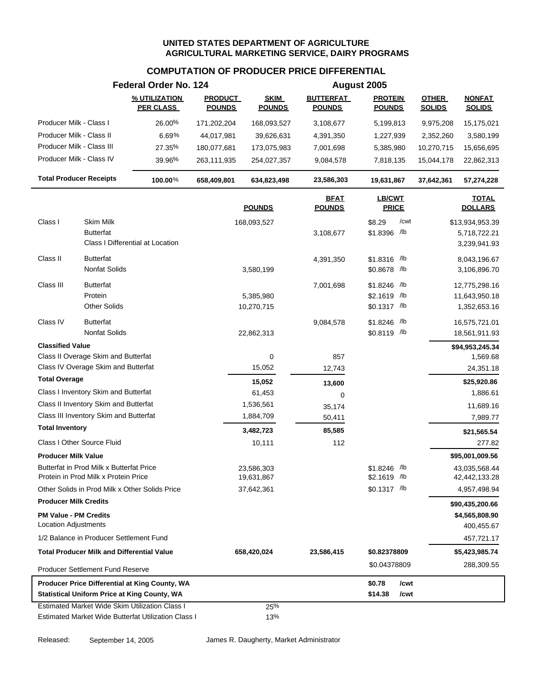## **COMPUTATION OF PRODUCER PRICE DIFFERENTIAL**

|                                                     | Federal Order No. 124             |                                 |                              |                                   | August 2005                     |                               |                                |
|-----------------------------------------------------|-----------------------------------|---------------------------------|------------------------------|-----------------------------------|---------------------------------|-------------------------------|--------------------------------|
|                                                     | % UTILIZATION<br><b>PER CLASS</b> | <b>PRODUCT</b><br><b>POUNDS</b> | <b>SKIM</b><br><b>POUNDS</b> | <b>BUTTERFAT</b><br><b>POUNDS</b> | <b>PROTEIN</b><br><b>POUNDS</b> | <b>OTHER</b><br><b>SOLIDS</b> | <b>NONFAT</b><br><b>SOLIDS</b> |
| Producer Milk - Class I                             | 26.00%                            | 171,202,204                     | 168,093,527                  | 3,108,677                         | 5,199,813                       | 9,975,208                     | 15,175,021                     |
| Producer Milk - Class II                            | 6.69%                             | 44,017,981                      | 39,626,631                   | 4,391,350                         | 1,227,939                       | 2,352,260                     | 3,580,199                      |
| Producer Milk - Class III                           | 27.35%                            | 180,077,681                     | 173,075,983                  | 7,001,698                         | 5,385,980                       | 10,270,715                    | 15,656,695                     |
| Producer Milk - Class IV                            | 39.96%                            | 263,111,935                     | 254,027,357                  | 9,084,578                         | 7,818,135                       | 15,044,178                    | 22,862,313                     |
| <b>Total Producer Receipts</b>                      | 100.00%                           | 658,409,801                     | 634,823,498                  | 23,586,303                        | 19,631,867                      | 37,642,361                    | 57,274,228                     |
|                                                     |                                   |                                 | <b>POUNDS</b>                | <b>BFAT</b><br><b>POUNDS</b>      | LB/CWT<br><b>PRICE</b>          |                               | <b>TOTAL</b><br><b>DOLLARS</b> |
| Class I<br>Skim Milk                                |                                   |                                 | 168,093,527                  |                                   | /cwt<br>\$8.29                  |                               | \$13,934,953.39                |
| <b>Butterfat</b>                                    |                                   |                                 |                              | 3,108,677                         | \$1.8396 /lb                    |                               | 5,718,722.21                   |
|                                                     | Class I Differential at Location  |                                 |                              |                                   |                                 |                               | 3,239,941.93                   |
| Class II<br><b>Butterfat</b>                        |                                   |                                 |                              | 4,391,350                         | $$1.8316$ /lb                   |                               | 8,043,196.67                   |
| Nonfat Solids                                       |                                   |                                 | 3,580,199                    |                                   | \$0.8678 /lb                    |                               | 3,106,896.70                   |
| Class III<br><b>Butterfat</b>                       |                                   |                                 |                              |                                   |                                 |                               | 12,775,298.16                  |
| Protein                                             |                                   |                                 | 5,385,980                    | 7,001,698                         | $$1.8246$ /lb<br>\$2.1619 /lb   |                               | 11,643,950.18                  |
| <b>Other Solids</b>                                 |                                   |                                 | 10,270,715                   |                                   | \$0.1317 /lb                    |                               | 1,352,653.16                   |
| <b>Butterfat</b><br>Class IV                        |                                   |                                 |                              |                                   |                                 |                               |                                |
| <b>Nonfat Solids</b>                                |                                   |                                 | 22,862,313                   | 9,084,578                         | \$1.8246 /lb<br>\$0.8119 /lb    |                               | 16,575,721.01<br>18,561,911.93 |
| <b>Classified Value</b>                             |                                   |                                 |                              |                                   |                                 |                               |                                |
| Class II Overage Skim and Butterfat                 |                                   |                                 | $\mathbf 0$                  | 857                               |                                 |                               | \$94,953,245.34<br>1,569.68    |
| Class IV Overage Skim and Butterfat                 |                                   |                                 | 15,052                       | 12,743                            |                                 |                               | 24,351.18                      |
| <b>Total Overage</b>                                |                                   |                                 | 15,052                       | 13,600                            |                                 |                               | \$25,920.86                    |
| Class I Inventory Skim and Butterfat                |                                   |                                 | 61,453                       | 0                                 |                                 |                               | 1,886.61                       |
| Class II Inventory Skim and Butterfat               |                                   |                                 | 1,536,561                    | 35,174                            |                                 |                               | 11,689.16                      |
| Class III Inventory Skim and Butterfat              |                                   |                                 | 1,884,709                    | 50,411                            |                                 |                               | 7,989.77                       |
| <b>Total Inventory</b>                              |                                   |                                 | 3,482,723                    | 85,585                            |                                 |                               | \$21,565.54                    |
| Class I Other Source Fluid                          |                                   |                                 | 10,111                       | 112                               |                                 |                               | 277.82                         |
| <b>Producer Milk Value</b>                          |                                   |                                 |                              |                                   |                                 |                               | \$95,001,009.56                |
| Butterfat in Prod Milk x Butterfat Price            |                                   |                                 | 23,586,303                   |                                   | \$1.8246 /lb                    |                               | 43,035,568.44                  |
| Protein in Prod Milk x Protein Price                |                                   |                                 | 19,631,867                   |                                   | $$2.1619$ /lb                   |                               | 42,442,133.28                  |
| Other Solids in Prod Milk x Other Solids Price      |                                   |                                 | 37,642,361                   |                                   | $$0.1317$ /lb                   |                               | 4,957,498.94                   |
| <b>Producer Milk Credits</b>                        |                                   |                                 |                              |                                   |                                 |                               | \$90,435,200.66                |
| <b>PM Value - PM Credits</b>                        |                                   |                                 |                              |                                   |                                 |                               | \$4,565,808.90                 |
| Location Adjustments                                |                                   |                                 |                              |                                   |                                 |                               | 400,455.67                     |
| 1/2 Balance in Producer Settlement Fund             |                                   |                                 |                              |                                   |                                 |                               | 457,721.17                     |
| <b>Total Producer Milk and Differential Value</b>   |                                   |                                 | 658,420,024                  | 23,586,415                        | \$0.82378809                    |                               | \$5,423,985.74                 |
| <b>Producer Settlement Fund Reserve</b>             |                                   |                                 |                              |                                   | \$0.04378809                    |                               | 288,309.55                     |
| Producer Price Differential at King County, WA      |                                   |                                 |                              |                                   | \$0.78<br>/cwt                  |                               |                                |
| <b>Statistical Uniform Price at King County, WA</b> |                                   |                                 |                              |                                   | \$14.38<br>/cwt                 |                               |                                |
| Estimated Market Wide Skim Utilization Class I      |                                   |                                 | 25%                          |                                   |                                 |                               |                                |
| Estimated Market Wide Butterfat Utilization Class I |                                   |                                 | 13%                          |                                   |                                 |                               |                                |

Released: September 14, 2005 James R. Daugherty, Market Administrator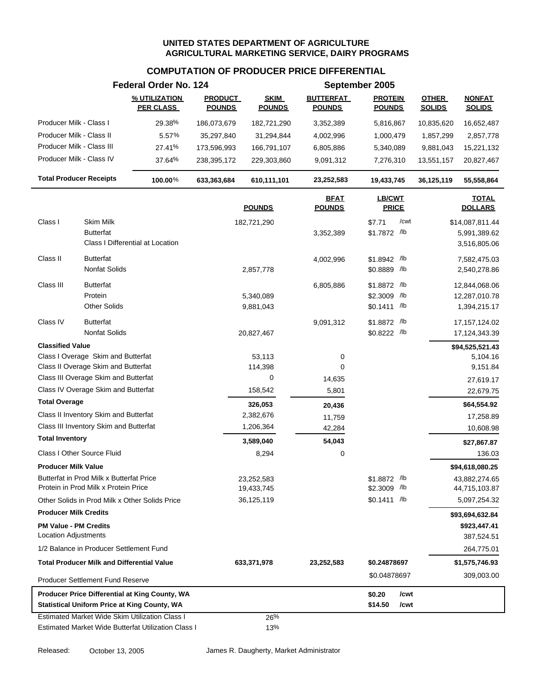## **COMPUTATION OF PRODUCER PRICE DIFFERENTIAL**

|                                |                                                   | Federal Order No. 124                                 |                                 |                              |                                   | September 2005                  |                               |                                  |
|--------------------------------|---------------------------------------------------|-------------------------------------------------------|---------------------------------|------------------------------|-----------------------------------|---------------------------------|-------------------------------|----------------------------------|
|                                |                                                   | % UTILIZATION<br><b>PER CLASS</b>                     | <b>PRODUCT</b><br><b>POUNDS</b> | <b>SKIM</b><br><b>POUNDS</b> | <b>BUTTERFAT</b><br><b>POUNDS</b> | <b>PROTEIN</b><br><b>POUNDS</b> | <b>OTHER</b><br><b>SOLIDS</b> | <b>NONFAT</b><br><b>SOLIDS</b>   |
| Producer Milk - Class I        |                                                   | 29.38%                                                | 186,073,679                     | 182,721,290                  | 3,352,389                         | 5,816,867                       | 10,835,620                    | 16,652,487                       |
| Producer Milk - Class II       |                                                   | 5.57%                                                 | 35,297,840                      | 31,294,844                   | 4,002,996                         | 1,000,479                       | 1,857,299                     | 2,857,778                        |
| Producer Milk - Class III      |                                                   | 27.41%                                                | 173,596,993                     | 166,791,107                  | 6,805,886                         | 5,340,089                       | 9,881,043                     | 15,221,132                       |
| Producer Milk - Class IV       |                                                   | 37.64%                                                | 238,395,172                     | 229,303,860                  | 9,091,312                         | 7,276,310                       | 13,551,157                    | 20,827,467                       |
| <b>Total Producer Receipts</b> |                                                   | 100.00%                                               | 633,363,684                     | 610,111,101                  | 23,252,583                        | 19,433,745                      | 36,125,119                    | 55,558,864                       |
|                                |                                                   |                                                       |                                 | <b>POUNDS</b>                | <b>BFAT</b><br><b>POUNDS</b>      | LB/CWT<br><b>PRICE</b>          |                               | <b>TOTAL</b><br><b>DOLLARS</b>   |
| Class I                        | Skim Milk                                         |                                                       |                                 | 182,721,290                  |                                   | \$7.71<br>/cwt                  |                               | \$14,087,811.44                  |
|                                | <b>Butterfat</b>                                  |                                                       |                                 |                              | 3,352,389                         | \$1.7872 /lb                    |                               | 5,991,389.62                     |
|                                |                                                   | Class I Differential at Location                      |                                 |                              |                                   |                                 |                               | 3,516,805.06                     |
| Class II                       | <b>Butterfat</b>                                  |                                                       |                                 |                              | 4,002,996                         | \$1.8942 /lb                    |                               | 7,582,475.03                     |
|                                | Nonfat Solids                                     |                                                       |                                 | 2,857,778                    |                                   | \$0.8889 /lb                    |                               | 2,540,278.86                     |
| Class III                      | <b>Butterfat</b>                                  |                                                       |                                 |                              |                                   |                                 |                               |                                  |
|                                | Protein                                           |                                                       |                                 | 5,340,089                    | 6,805,886                         | \$1.8872 /lb<br>\$2.3009 /lb    |                               | 12,844,068.06<br>12,287,010.78   |
|                                | <b>Other Solids</b>                               |                                                       |                                 | 9,881,043                    |                                   | $$0.1411$ /lb                   |                               | 1,394,215.17                     |
|                                |                                                   |                                                       |                                 |                              |                                   |                                 |                               |                                  |
| Class IV                       | <b>Butterfat</b><br>Nonfat Solids                 |                                                       |                                 | 20,827,467                   | 9,091,312                         | \$1.8872 /lb<br>\$0.8222 /lb    |                               | 17, 157, 124.02<br>17,124,343.39 |
| <b>Classified Value</b>        |                                                   |                                                       |                                 |                              |                                   |                                 |                               |                                  |
|                                | Class I Overage Skim and Butterfat                |                                                       |                                 | 53,113                       | 0                                 |                                 |                               | \$94,525,521.43<br>5,104.16      |
|                                | Class II Overage Skim and Butterfat               |                                                       |                                 | 114,398                      | $\mathbf 0$                       |                                 |                               | 9,151.84                         |
|                                | Class III Overage Skim and Butterfat              |                                                       |                                 | 0                            | 14,635                            |                                 |                               | 27,619.17                        |
|                                | Class IV Overage Skim and Butterfat               |                                                       |                                 | 158,542                      | 5,801                             |                                 |                               | 22,679.75                        |
| <b>Total Overage</b>           |                                                   |                                                       |                                 | 326,053                      | 20,436                            |                                 |                               | \$64,554.92                      |
|                                | Class II Inventory Skim and Butterfat             |                                                       |                                 | 2,382,676                    | 11,759                            |                                 |                               | 17,258.89                        |
|                                | Class III Inventory Skim and Butterfat            |                                                       |                                 | 1,206,364                    | 42,284                            |                                 |                               | 10,608.98                        |
| <b>Total Inventory</b>         |                                                   |                                                       |                                 | 3,589,040                    | 54,043                            |                                 |                               | \$27,867.87                      |
|                                | Class I Other Source Fluid                        |                                                       |                                 | 8,294                        | 0                                 |                                 |                               | 136.03                           |
| <b>Producer Milk Value</b>     |                                                   |                                                       |                                 |                              |                                   |                                 |                               | \$94,618,080.25                  |
|                                | Butterfat in Prod Milk x Butterfat Price          |                                                       |                                 | 23,252,583                   |                                   | \$1.8872 /lb                    |                               | 43,882,274.65                    |
|                                | Protein in Prod Milk x Protein Price              |                                                       |                                 | 19,433,745                   |                                   | \$2.3009 /lb                    |                               | 44,715,103.87                    |
|                                |                                                   | Other Solids in Prod Milk x Other Solids Price        |                                 | 36,125,119                   |                                   | $$0.1411$ /lb                   |                               | 5,097,254.32                     |
| <b>Producer Milk Credits</b>   |                                                   |                                                       |                                 |                              |                                   |                                 |                               | \$93,694,632.84                  |
| <b>PM Value - PM Credits</b>   |                                                   |                                                       |                                 |                              |                                   |                                 |                               | \$923,447.41                     |
| <b>Location Adjustments</b>    |                                                   |                                                       |                                 |                              |                                   |                                 |                               | 387,524.51                       |
|                                | 1/2 Balance in Producer Settlement Fund           |                                                       |                                 |                              |                                   |                                 |                               | 264,775.01                       |
|                                | <b>Total Producer Milk and Differential Value</b> |                                                       |                                 | 633,371,978                  | 23,252,583                        | \$0.24878697                    |                               | \$1,575,746.93                   |
|                                | <b>Producer Settlement Fund Reserve</b>           |                                                       |                                 |                              |                                   | \$0.04878697                    |                               | 309,003.00                       |
|                                |                                                   | Producer Price Differential at King County, WA        |                                 |                              |                                   | \$0.20<br>/cwt                  |                               |                                  |
|                                |                                                   | <b>Statistical Uniform Price at King County, WA</b>   |                                 |                              |                                   | \$14.50<br>/cwt                 |                               |                                  |
|                                |                                                   | <b>Estimated Market Wide Skim Utilization Class I</b> |                                 | 26%                          |                                   |                                 |                               |                                  |
|                                |                                                   | Estimated Market Wide Butterfat Utilization Class I   |                                 | 13%                          |                                   |                                 |                               |                                  |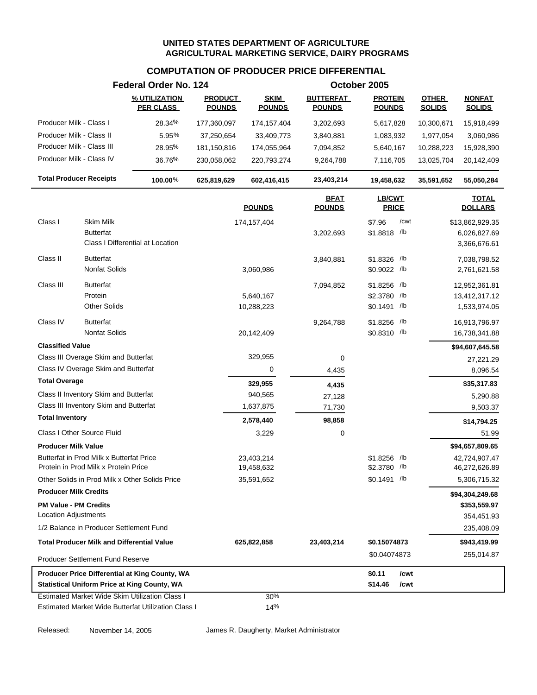### **COMPUTATION OF PRODUCER PRICE DIFFERENTIAL**

|                                                             |                                                                                  | Federal Order No. 124                                                                                 |                                 |                              |                                   | October 2005                                   |                               |                                                |
|-------------------------------------------------------------|----------------------------------------------------------------------------------|-------------------------------------------------------------------------------------------------------|---------------------------------|------------------------------|-----------------------------------|------------------------------------------------|-------------------------------|------------------------------------------------|
|                                                             |                                                                                  | % UTILIZATION<br><b>PER CLASS</b>                                                                     | <b>PRODUCT</b><br><b>POUNDS</b> | <b>SKIM</b><br><b>POUNDS</b> | <b>BUTTERFAT</b><br><b>POUNDS</b> | <b>PROTEIN</b><br><b>POUNDS</b>                | <b>OTHER</b><br><b>SOLIDS</b> | <b>NONFAT</b><br><b>SOLIDS</b>                 |
| Producer Milk - Class I                                     |                                                                                  | 28.34%                                                                                                | 177,360,097                     | 174, 157, 404                | 3,202,693                         | 5,617,828                                      | 10,300,671                    | 15,918,499                                     |
| Producer Milk - Class II                                    |                                                                                  | 5.95%                                                                                                 | 37,250,654                      | 33,409,773                   | 3,840,881                         | 1,083,932                                      | 1,977,054                     | 3,060,986                                      |
| Producer Milk - Class III                                   |                                                                                  | 28.95%                                                                                                | 181,150,816                     | 174,055,964                  | 7,094,852                         | 5,640,167                                      | 10,288,223                    | 15,928,390                                     |
| Producer Milk - Class IV                                    |                                                                                  | 36.76%                                                                                                | 230,058,062                     | 220,793,274                  | 9,264,788                         | 7,116,705                                      | 13,025,704                    | 20,142,409                                     |
| <b>Total Producer Receipts</b>                              |                                                                                  | 100.00%                                                                                               | 625,819,629                     | 602,416,415                  | 23,403,214                        | 19,458,632                                     | 35,591,652                    | 55,050,284                                     |
|                                                             |                                                                                  |                                                                                                       |                                 | <b>POUNDS</b>                | <b>BFAT</b><br><b>POUNDS</b>      | <b>LB/CWT</b><br><b>PRICE</b>                  |                               | <b>TOTAL</b><br><b>DOLLARS</b>                 |
| Class I                                                     | Skim Milk                                                                        |                                                                                                       |                                 | 174,157,404                  |                                   | \$7.96<br>/cwt                                 |                               | \$13,862,929.35                                |
|                                                             | <b>Butterfat</b>                                                                 | Class I Differential at Location                                                                      |                                 |                              | 3,202,693                         | \$1.8818 /lb                                   |                               | 6,026,827.69<br>3,366,676.61                   |
| Class II                                                    | <b>Butterfat</b><br><b>Nonfat Solids</b>                                         |                                                                                                       |                                 | 3,060,986                    | 3,840,881                         | \$1.8326 /lb<br>$$0.9022$ /lb                  |                               | 7,038,798.52<br>2,761,621.58                   |
| Class III                                                   | <b>Butterfat</b><br>Protein<br><b>Other Solids</b>                               |                                                                                                       |                                 | 5,640,167<br>10,288,223      | 7,094,852                         | $$1.8256$ /lb<br>\$2.3780 /lb<br>$$0.1491$ /lb |                               | 12,952,361.81<br>13,412,317.12<br>1,533,974.05 |
| Class IV                                                    | <b>Butterfat</b><br><b>Nonfat Solids</b>                                         |                                                                                                       |                                 | 20,142,409                   | 9,264,788                         | \$1.8256 /lb<br>\$0.8310 /lb                   |                               | 16,913,796.97<br>16,738,341.88                 |
| <b>Classified Value</b>                                     |                                                                                  |                                                                                                       |                                 |                              |                                   |                                                |                               | \$94,607,645.58                                |
|                                                             | Class III Overage Skim and Butterfat                                             |                                                                                                       |                                 | 329,955                      | 0                                 |                                                |                               | 27,221.29                                      |
|                                                             | Class IV Overage Skim and Butterfat                                              |                                                                                                       |                                 | 0                            | 4,435                             |                                                |                               | 8,096.54                                       |
| <b>Total Overage</b>                                        |                                                                                  |                                                                                                       |                                 | 329,955                      | 4,435                             |                                                |                               | \$35,317.83                                    |
|                                                             | Class II Inventory Skim and Butterfat                                            |                                                                                                       |                                 | 940,565                      | 27,128                            |                                                |                               | 5,290.88                                       |
|                                                             | Class III Inventory Skim and Butterfat                                           |                                                                                                       |                                 | 1,637,875                    | 71,730                            |                                                |                               | 9,503.37                                       |
| <b>Total Inventory</b>                                      |                                                                                  |                                                                                                       |                                 | 2,578,440                    | 98,858                            |                                                |                               | \$14,794.25                                    |
|                                                             | Class I Other Source Fluid                                                       |                                                                                                       |                                 | 3,229                        | 0                                 |                                                |                               | 51.99                                          |
| <b>Producer Milk Value</b>                                  |                                                                                  |                                                                                                       |                                 |                              |                                   |                                                |                               | \$94,657,809.65                                |
|                                                             | Butterfat in Prod Milk x Butterfat Price<br>Protein in Prod Milk x Protein Price |                                                                                                       |                                 | 23,403,214<br>19,458,632     |                                   | \$1,8256 /lb<br>\$2.3780 /lb                   |                               | 42,724,907.47<br>46,272,626.89                 |
|                                                             |                                                                                  | Other Solids in Prod Milk x Other Solids Price                                                        |                                 | 35,591,652                   |                                   | \$0.1491 /lb                                   |                               | 5,306,715.32                                   |
| <b>Producer Milk Credits</b>                                |                                                                                  |                                                                                                       |                                 |                              |                                   |                                                |                               | \$94,304,249.68                                |
| <b>PM Value - PM Credits</b><br><b>Location Adjustments</b> |                                                                                  |                                                                                                       |                                 |                              |                                   |                                                |                               | \$353,559.97<br>354,451.93                     |
|                                                             | 1/2 Balance in Producer Settlement Fund                                          |                                                                                                       |                                 |                              |                                   |                                                |                               | 235,408.09                                     |
|                                                             | <b>Total Producer Milk and Differential Value</b>                                |                                                                                                       |                                 | 625,822,858                  | 23,403,214                        | \$0.15074873                                   |                               | \$943,419.99                                   |
|                                                             | <b>Producer Settlement Fund Reserve</b>                                          |                                                                                                       |                                 |                              |                                   | \$0.04074873                                   |                               | 255,014.87                                     |
|                                                             |                                                                                  | Producer Price Differential at King County, WA<br><b>Statistical Uniform Price at King County, WA</b> |                                 |                              |                                   | \$0.11<br>/cwt<br>\$14.46<br>/cwt              |                               |                                                |
|                                                             |                                                                                  | Estimated Market Wide Skim Utilization Class I<br>Estimated Market Wide Butterfat Utilization Class I |                                 | 30%<br>14%                   |                                   |                                                |                               |                                                |

Released: November 14, 2005 James R. Daugherty, Market Administrator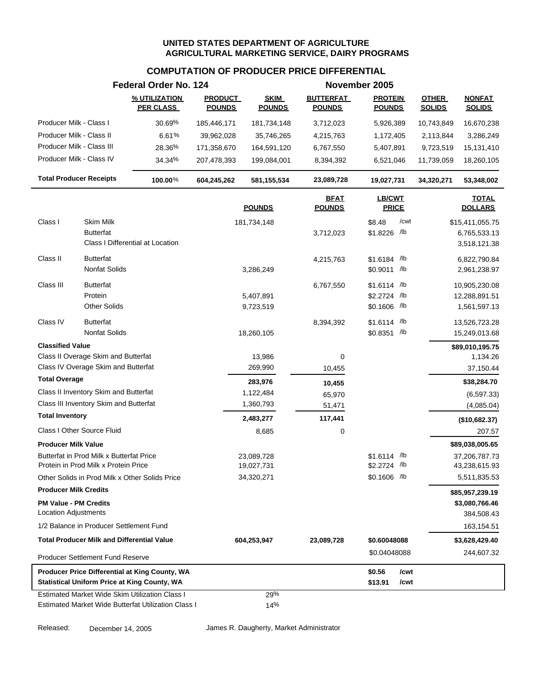## **COMPUTATION OF PRODUCER PRICE DIFFERENTIAL**

| % UTILIZATION<br><b>PRODUCT</b><br><b>SKIM</b><br><b>BUTTERFAT</b><br><b>PROTEIN</b><br><b>OTHER</b><br><b>NONFAT</b><br><b>PER CLASS</b><br><b>POUNDS</b><br><b>POUNDS</b><br><b>POUNDS</b><br><b>POUNDS</b><br><b>SOLIDS</b><br><b>SOLIDS</b><br>Producer Milk - Class I<br>30.69%<br>185,446,171<br>181,734,148<br>3,712,023<br>5,926,389<br>16,670,238<br>10,743,849<br>Producer Milk - Class II<br>6.61%<br>39,962,028<br>35,746,265<br>4,215,763<br>1,172,405<br>2,113,844<br>3,286,249<br>Producer Milk - Class III<br>28.36%<br>171,358,670<br>164,591,120<br>6,767,550<br>5,407,891<br>9,723,519<br>15,131,410<br>Producer Milk - Class IV<br>34.34%<br>207,478,393<br>199,084,001<br>8,394,392<br>6,521,046<br>11,739,059<br>18,260,105<br><b>Total Producer Receipts</b><br>100.00%<br>23,089,728<br>604,245,262<br>581,155,534<br>19,027,731<br>34,320,271<br><b>BFAT</b><br><b>LB/CWT</b><br><b>TOTAL</b><br><b>POUNDS</b><br><b>PRICE</b><br><b>DOLLARS</b><br><b>POUNDS</b><br>Class I<br>Skim Milk<br>/cwt<br>\$8.48<br>181,734,148<br>\$15,411,055.75<br><b>Butterfat</b><br>\$1.8226 /lb<br>3,712,023<br>Class I Differential at Location<br><b>Butterfat</b><br>Class II<br>\$1.6184 /lb<br>4,215,763<br>Nonfat Solids<br>\$0.9011 /lb<br>3,286,249<br>Class III<br><b>Butterfat</b><br>$$1.6114$ /lb<br>6,767,550<br>10,905,230.08<br>Protein<br>\$2.2724 /lb<br>5,407,891<br>12,288,891.51<br><b>Other Solids</b><br>\$0.1606 /lb<br>9,723,519<br>Class IV<br><b>Butterfat</b><br>\$1.6114 /lb<br>8,394,392<br>13,526,723.28<br><b>Nonfat Solids</b><br>\$0.8351 /lb<br>18,260,105<br>15,249,013.68<br><b>Classified Value</b><br>\$89,010,195.75<br>Class II Overage Skim and Butterfat<br>13,986<br>0<br>Class IV Overage Skim and Butterfat<br>269,990<br>37,150.44<br>10,455<br><b>Total Overage</b><br>283,976<br>10,455<br>Class II Inventory Skim and Butterfat<br>1,122,484<br>65,970<br>Class III Inventory Skim and Butterfat<br>1,360,793<br>51,471<br><b>Total Inventory</b><br>2,483,277<br>117,441<br>Class I Other Source Fluid<br>8,685<br>0<br><b>Producer Milk Value</b><br>\$89,038,005.65<br>Butterfat in Prod Milk x Butterfat Price<br>\$1.6114 /lb<br>23,089,728<br>37,206,787.73<br>\$2.2724 /lb<br>Protein in Prod Milk x Protein Price<br>19,027,731<br>43,238,615.93<br>$$0.1606$ /lb<br>Other Solids in Prod Milk x Other Solids Price<br>34,320,271<br><b>Producer Milk Credits</b><br>\$85,957,239.19<br><b>PM Value - PM Credits</b><br>\$3,080,766.46<br>Location Adjustments<br>1/2 Balance in Producer Settlement Fund<br><b>Total Producer Milk and Differential Value</b><br>\$0.60048088<br>604,253,947<br>23,089,728<br>\$3,628,429.40<br>\$0.04048088<br>Producer Settlement Fund Reserve<br>Producer Price Differential at King County, WA<br>\$0.56<br>/cwt<br><b>Statistical Uniform Price at King County, WA</b><br>\$13.91<br>/cwt<br><b>Estimated Market Wide Skim Utilization Class I</b><br>29% |  | Federal Order No. 124 |  | November 2005 |  |                              |
|---------------------------------------------------------------------------------------------------------------------------------------------------------------------------------------------------------------------------------------------------------------------------------------------------------------------------------------------------------------------------------------------------------------------------------------------------------------------------------------------------------------------------------------------------------------------------------------------------------------------------------------------------------------------------------------------------------------------------------------------------------------------------------------------------------------------------------------------------------------------------------------------------------------------------------------------------------------------------------------------------------------------------------------------------------------------------------------------------------------------------------------------------------------------------------------------------------------------------------------------------------------------------------------------------------------------------------------------------------------------------------------------------------------------------------------------------------------------------------------------------------------------------------------------------------------------------------------------------------------------------------------------------------------------------------------------------------------------------------------------------------------------------------------------------------------------------------------------------------------------------------------------------------------------------------------------------------------------------------------------------------------------------------------------------------------------------------------------------------------------------------------------------------------------------------------------------------------------------------------------------------------------------------------------------------------------------------------------------------------------------------------------------------------------------------------------------------------------------------------------------------------------------------------------------------------------------------------------------------------------------------------------------------------------------------------------------------------------------------------------------------------------------------------------------------------------------------------------------------------------------------------------------------------------------------------------------------------------|--|-----------------------|--|---------------|--|------------------------------|
|                                                                                                                                                                                                                                                                                                                                                                                                                                                                                                                                                                                                                                                                                                                                                                                                                                                                                                                                                                                                                                                                                                                                                                                                                                                                                                                                                                                                                                                                                                                                                                                                                                                                                                                                                                                                                                                                                                                                                                                                                                                                                                                                                                                                                                                                                                                                                                                                                                                                                                                                                                                                                                                                                                                                                                                                                                                                                                                                                                     |  |                       |  |               |  |                              |
|                                                                                                                                                                                                                                                                                                                                                                                                                                                                                                                                                                                                                                                                                                                                                                                                                                                                                                                                                                                                                                                                                                                                                                                                                                                                                                                                                                                                                                                                                                                                                                                                                                                                                                                                                                                                                                                                                                                                                                                                                                                                                                                                                                                                                                                                                                                                                                                                                                                                                                                                                                                                                                                                                                                                                                                                                                                                                                                                                                     |  |                       |  |               |  |                              |
|                                                                                                                                                                                                                                                                                                                                                                                                                                                                                                                                                                                                                                                                                                                                                                                                                                                                                                                                                                                                                                                                                                                                                                                                                                                                                                                                                                                                                                                                                                                                                                                                                                                                                                                                                                                                                                                                                                                                                                                                                                                                                                                                                                                                                                                                                                                                                                                                                                                                                                                                                                                                                                                                                                                                                                                                                                                                                                                                                                     |  |                       |  |               |  |                              |
|                                                                                                                                                                                                                                                                                                                                                                                                                                                                                                                                                                                                                                                                                                                                                                                                                                                                                                                                                                                                                                                                                                                                                                                                                                                                                                                                                                                                                                                                                                                                                                                                                                                                                                                                                                                                                                                                                                                                                                                                                                                                                                                                                                                                                                                                                                                                                                                                                                                                                                                                                                                                                                                                                                                                                                                                                                                                                                                                                                     |  |                       |  |               |  |                              |
|                                                                                                                                                                                                                                                                                                                                                                                                                                                                                                                                                                                                                                                                                                                                                                                                                                                                                                                                                                                                                                                                                                                                                                                                                                                                                                                                                                                                                                                                                                                                                                                                                                                                                                                                                                                                                                                                                                                                                                                                                                                                                                                                                                                                                                                                                                                                                                                                                                                                                                                                                                                                                                                                                                                                                                                                                                                                                                                                                                     |  |                       |  |               |  |                              |
|                                                                                                                                                                                                                                                                                                                                                                                                                                                                                                                                                                                                                                                                                                                                                                                                                                                                                                                                                                                                                                                                                                                                                                                                                                                                                                                                                                                                                                                                                                                                                                                                                                                                                                                                                                                                                                                                                                                                                                                                                                                                                                                                                                                                                                                                                                                                                                                                                                                                                                                                                                                                                                                                                                                                                                                                                                                                                                                                                                     |  |                       |  |               |  |                              |
|                                                                                                                                                                                                                                                                                                                                                                                                                                                                                                                                                                                                                                                                                                                                                                                                                                                                                                                                                                                                                                                                                                                                                                                                                                                                                                                                                                                                                                                                                                                                                                                                                                                                                                                                                                                                                                                                                                                                                                                                                                                                                                                                                                                                                                                                                                                                                                                                                                                                                                                                                                                                                                                                                                                                                                                                                                                                                                                                                                     |  |                       |  |               |  | 53,348,002                   |
|                                                                                                                                                                                                                                                                                                                                                                                                                                                                                                                                                                                                                                                                                                                                                                                                                                                                                                                                                                                                                                                                                                                                                                                                                                                                                                                                                                                                                                                                                                                                                                                                                                                                                                                                                                                                                                                                                                                                                                                                                                                                                                                                                                                                                                                                                                                                                                                                                                                                                                                                                                                                                                                                                                                                                                                                                                                                                                                                                                     |  |                       |  |               |  |                              |
|                                                                                                                                                                                                                                                                                                                                                                                                                                                                                                                                                                                                                                                                                                                                                                                                                                                                                                                                                                                                                                                                                                                                                                                                                                                                                                                                                                                                                                                                                                                                                                                                                                                                                                                                                                                                                                                                                                                                                                                                                                                                                                                                                                                                                                                                                                                                                                                                                                                                                                                                                                                                                                                                                                                                                                                                                                                                                                                                                                     |  |                       |  |               |  |                              |
|                                                                                                                                                                                                                                                                                                                                                                                                                                                                                                                                                                                                                                                                                                                                                                                                                                                                                                                                                                                                                                                                                                                                                                                                                                                                                                                                                                                                                                                                                                                                                                                                                                                                                                                                                                                                                                                                                                                                                                                                                                                                                                                                                                                                                                                                                                                                                                                                                                                                                                                                                                                                                                                                                                                                                                                                                                                                                                                                                                     |  |                       |  |               |  | 6,765,533.13<br>3,518,121.38 |
|                                                                                                                                                                                                                                                                                                                                                                                                                                                                                                                                                                                                                                                                                                                                                                                                                                                                                                                                                                                                                                                                                                                                                                                                                                                                                                                                                                                                                                                                                                                                                                                                                                                                                                                                                                                                                                                                                                                                                                                                                                                                                                                                                                                                                                                                                                                                                                                                                                                                                                                                                                                                                                                                                                                                                                                                                                                                                                                                                                     |  |                       |  |               |  | 6,822,790.84                 |
|                                                                                                                                                                                                                                                                                                                                                                                                                                                                                                                                                                                                                                                                                                                                                                                                                                                                                                                                                                                                                                                                                                                                                                                                                                                                                                                                                                                                                                                                                                                                                                                                                                                                                                                                                                                                                                                                                                                                                                                                                                                                                                                                                                                                                                                                                                                                                                                                                                                                                                                                                                                                                                                                                                                                                                                                                                                                                                                                                                     |  |                       |  |               |  | 2,961,238.97                 |
|                                                                                                                                                                                                                                                                                                                                                                                                                                                                                                                                                                                                                                                                                                                                                                                                                                                                                                                                                                                                                                                                                                                                                                                                                                                                                                                                                                                                                                                                                                                                                                                                                                                                                                                                                                                                                                                                                                                                                                                                                                                                                                                                                                                                                                                                                                                                                                                                                                                                                                                                                                                                                                                                                                                                                                                                                                                                                                                                                                     |  |                       |  |               |  |                              |
|                                                                                                                                                                                                                                                                                                                                                                                                                                                                                                                                                                                                                                                                                                                                                                                                                                                                                                                                                                                                                                                                                                                                                                                                                                                                                                                                                                                                                                                                                                                                                                                                                                                                                                                                                                                                                                                                                                                                                                                                                                                                                                                                                                                                                                                                                                                                                                                                                                                                                                                                                                                                                                                                                                                                                                                                                                                                                                                                                                     |  |                       |  |               |  |                              |
|                                                                                                                                                                                                                                                                                                                                                                                                                                                                                                                                                                                                                                                                                                                                                                                                                                                                                                                                                                                                                                                                                                                                                                                                                                                                                                                                                                                                                                                                                                                                                                                                                                                                                                                                                                                                                                                                                                                                                                                                                                                                                                                                                                                                                                                                                                                                                                                                                                                                                                                                                                                                                                                                                                                                                                                                                                                                                                                                                                     |  |                       |  |               |  | 1,561,597.13                 |
|                                                                                                                                                                                                                                                                                                                                                                                                                                                                                                                                                                                                                                                                                                                                                                                                                                                                                                                                                                                                                                                                                                                                                                                                                                                                                                                                                                                                                                                                                                                                                                                                                                                                                                                                                                                                                                                                                                                                                                                                                                                                                                                                                                                                                                                                                                                                                                                                                                                                                                                                                                                                                                                                                                                                                                                                                                                                                                                                                                     |  |                       |  |               |  |                              |
|                                                                                                                                                                                                                                                                                                                                                                                                                                                                                                                                                                                                                                                                                                                                                                                                                                                                                                                                                                                                                                                                                                                                                                                                                                                                                                                                                                                                                                                                                                                                                                                                                                                                                                                                                                                                                                                                                                                                                                                                                                                                                                                                                                                                                                                                                                                                                                                                                                                                                                                                                                                                                                                                                                                                                                                                                                                                                                                                                                     |  |                       |  |               |  |                              |
|                                                                                                                                                                                                                                                                                                                                                                                                                                                                                                                                                                                                                                                                                                                                                                                                                                                                                                                                                                                                                                                                                                                                                                                                                                                                                                                                                                                                                                                                                                                                                                                                                                                                                                                                                                                                                                                                                                                                                                                                                                                                                                                                                                                                                                                                                                                                                                                                                                                                                                                                                                                                                                                                                                                                                                                                                                                                                                                                                                     |  |                       |  |               |  |                              |
|                                                                                                                                                                                                                                                                                                                                                                                                                                                                                                                                                                                                                                                                                                                                                                                                                                                                                                                                                                                                                                                                                                                                                                                                                                                                                                                                                                                                                                                                                                                                                                                                                                                                                                                                                                                                                                                                                                                                                                                                                                                                                                                                                                                                                                                                                                                                                                                                                                                                                                                                                                                                                                                                                                                                                                                                                                                                                                                                                                     |  |                       |  |               |  | 1,134.26                     |
|                                                                                                                                                                                                                                                                                                                                                                                                                                                                                                                                                                                                                                                                                                                                                                                                                                                                                                                                                                                                                                                                                                                                                                                                                                                                                                                                                                                                                                                                                                                                                                                                                                                                                                                                                                                                                                                                                                                                                                                                                                                                                                                                                                                                                                                                                                                                                                                                                                                                                                                                                                                                                                                                                                                                                                                                                                                                                                                                                                     |  |                       |  |               |  |                              |
|                                                                                                                                                                                                                                                                                                                                                                                                                                                                                                                                                                                                                                                                                                                                                                                                                                                                                                                                                                                                                                                                                                                                                                                                                                                                                                                                                                                                                                                                                                                                                                                                                                                                                                                                                                                                                                                                                                                                                                                                                                                                                                                                                                                                                                                                                                                                                                                                                                                                                                                                                                                                                                                                                                                                                                                                                                                                                                                                                                     |  |                       |  |               |  | \$38,284.70                  |
|                                                                                                                                                                                                                                                                                                                                                                                                                                                                                                                                                                                                                                                                                                                                                                                                                                                                                                                                                                                                                                                                                                                                                                                                                                                                                                                                                                                                                                                                                                                                                                                                                                                                                                                                                                                                                                                                                                                                                                                                                                                                                                                                                                                                                                                                                                                                                                                                                                                                                                                                                                                                                                                                                                                                                                                                                                                                                                                                                                     |  |                       |  |               |  | (6, 597.33)                  |
|                                                                                                                                                                                                                                                                                                                                                                                                                                                                                                                                                                                                                                                                                                                                                                                                                                                                                                                                                                                                                                                                                                                                                                                                                                                                                                                                                                                                                                                                                                                                                                                                                                                                                                                                                                                                                                                                                                                                                                                                                                                                                                                                                                                                                                                                                                                                                                                                                                                                                                                                                                                                                                                                                                                                                                                                                                                                                                                                                                     |  |                       |  |               |  | (4,085.04)                   |
|                                                                                                                                                                                                                                                                                                                                                                                                                                                                                                                                                                                                                                                                                                                                                                                                                                                                                                                                                                                                                                                                                                                                                                                                                                                                                                                                                                                                                                                                                                                                                                                                                                                                                                                                                                                                                                                                                                                                                                                                                                                                                                                                                                                                                                                                                                                                                                                                                                                                                                                                                                                                                                                                                                                                                                                                                                                                                                                                                                     |  |                       |  |               |  | (\$10,682.37)                |
|                                                                                                                                                                                                                                                                                                                                                                                                                                                                                                                                                                                                                                                                                                                                                                                                                                                                                                                                                                                                                                                                                                                                                                                                                                                                                                                                                                                                                                                                                                                                                                                                                                                                                                                                                                                                                                                                                                                                                                                                                                                                                                                                                                                                                                                                                                                                                                                                                                                                                                                                                                                                                                                                                                                                                                                                                                                                                                                                                                     |  |                       |  |               |  | 207.57                       |
|                                                                                                                                                                                                                                                                                                                                                                                                                                                                                                                                                                                                                                                                                                                                                                                                                                                                                                                                                                                                                                                                                                                                                                                                                                                                                                                                                                                                                                                                                                                                                                                                                                                                                                                                                                                                                                                                                                                                                                                                                                                                                                                                                                                                                                                                                                                                                                                                                                                                                                                                                                                                                                                                                                                                                                                                                                                                                                                                                                     |  |                       |  |               |  |                              |
|                                                                                                                                                                                                                                                                                                                                                                                                                                                                                                                                                                                                                                                                                                                                                                                                                                                                                                                                                                                                                                                                                                                                                                                                                                                                                                                                                                                                                                                                                                                                                                                                                                                                                                                                                                                                                                                                                                                                                                                                                                                                                                                                                                                                                                                                                                                                                                                                                                                                                                                                                                                                                                                                                                                                                                                                                                                                                                                                                                     |  |                       |  |               |  |                              |
|                                                                                                                                                                                                                                                                                                                                                                                                                                                                                                                                                                                                                                                                                                                                                                                                                                                                                                                                                                                                                                                                                                                                                                                                                                                                                                                                                                                                                                                                                                                                                                                                                                                                                                                                                                                                                                                                                                                                                                                                                                                                                                                                                                                                                                                                                                                                                                                                                                                                                                                                                                                                                                                                                                                                                                                                                                                                                                                                                                     |  |                       |  |               |  | 5,511,835.53                 |
|                                                                                                                                                                                                                                                                                                                                                                                                                                                                                                                                                                                                                                                                                                                                                                                                                                                                                                                                                                                                                                                                                                                                                                                                                                                                                                                                                                                                                                                                                                                                                                                                                                                                                                                                                                                                                                                                                                                                                                                                                                                                                                                                                                                                                                                                                                                                                                                                                                                                                                                                                                                                                                                                                                                                                                                                                                                                                                                                                                     |  |                       |  |               |  |                              |
|                                                                                                                                                                                                                                                                                                                                                                                                                                                                                                                                                                                                                                                                                                                                                                                                                                                                                                                                                                                                                                                                                                                                                                                                                                                                                                                                                                                                                                                                                                                                                                                                                                                                                                                                                                                                                                                                                                                                                                                                                                                                                                                                                                                                                                                                                                                                                                                                                                                                                                                                                                                                                                                                                                                                                                                                                                                                                                                                                                     |  |                       |  |               |  |                              |
|                                                                                                                                                                                                                                                                                                                                                                                                                                                                                                                                                                                                                                                                                                                                                                                                                                                                                                                                                                                                                                                                                                                                                                                                                                                                                                                                                                                                                                                                                                                                                                                                                                                                                                                                                                                                                                                                                                                                                                                                                                                                                                                                                                                                                                                                                                                                                                                                                                                                                                                                                                                                                                                                                                                                                                                                                                                                                                                                                                     |  |                       |  |               |  | 384,508.43                   |
|                                                                                                                                                                                                                                                                                                                                                                                                                                                                                                                                                                                                                                                                                                                                                                                                                                                                                                                                                                                                                                                                                                                                                                                                                                                                                                                                                                                                                                                                                                                                                                                                                                                                                                                                                                                                                                                                                                                                                                                                                                                                                                                                                                                                                                                                                                                                                                                                                                                                                                                                                                                                                                                                                                                                                                                                                                                                                                                                                                     |  |                       |  |               |  | 163,154.51                   |
|                                                                                                                                                                                                                                                                                                                                                                                                                                                                                                                                                                                                                                                                                                                                                                                                                                                                                                                                                                                                                                                                                                                                                                                                                                                                                                                                                                                                                                                                                                                                                                                                                                                                                                                                                                                                                                                                                                                                                                                                                                                                                                                                                                                                                                                                                                                                                                                                                                                                                                                                                                                                                                                                                                                                                                                                                                                                                                                                                                     |  |                       |  |               |  |                              |
|                                                                                                                                                                                                                                                                                                                                                                                                                                                                                                                                                                                                                                                                                                                                                                                                                                                                                                                                                                                                                                                                                                                                                                                                                                                                                                                                                                                                                                                                                                                                                                                                                                                                                                                                                                                                                                                                                                                                                                                                                                                                                                                                                                                                                                                                                                                                                                                                                                                                                                                                                                                                                                                                                                                                                                                                                                                                                                                                                                     |  |                       |  |               |  | 244,607.32                   |
|                                                                                                                                                                                                                                                                                                                                                                                                                                                                                                                                                                                                                                                                                                                                                                                                                                                                                                                                                                                                                                                                                                                                                                                                                                                                                                                                                                                                                                                                                                                                                                                                                                                                                                                                                                                                                                                                                                                                                                                                                                                                                                                                                                                                                                                                                                                                                                                                                                                                                                                                                                                                                                                                                                                                                                                                                                                                                                                                                                     |  |                       |  |               |  |                              |
|                                                                                                                                                                                                                                                                                                                                                                                                                                                                                                                                                                                                                                                                                                                                                                                                                                                                                                                                                                                                                                                                                                                                                                                                                                                                                                                                                                                                                                                                                                                                                                                                                                                                                                                                                                                                                                                                                                                                                                                                                                                                                                                                                                                                                                                                                                                                                                                                                                                                                                                                                                                                                                                                                                                                                                                                                                                                                                                                                                     |  |                       |  |               |  |                              |
| Estimated Market Wide Butterfat Utilization Class I<br>14%                                                                                                                                                                                                                                                                                                                                                                                                                                                                                                                                                                                                                                                                                                                                                                                                                                                                                                                                                                                                                                                                                                                                                                                                                                                                                                                                                                                                                                                                                                                                                                                                                                                                                                                                                                                                                                                                                                                                                                                                                                                                                                                                                                                                                                                                                                                                                                                                                                                                                                                                                                                                                                                                                                                                                                                                                                                                                                          |  |                       |  |               |  |                              |

Released: December 14, 2005 James R. Daugherty, Market Administrator